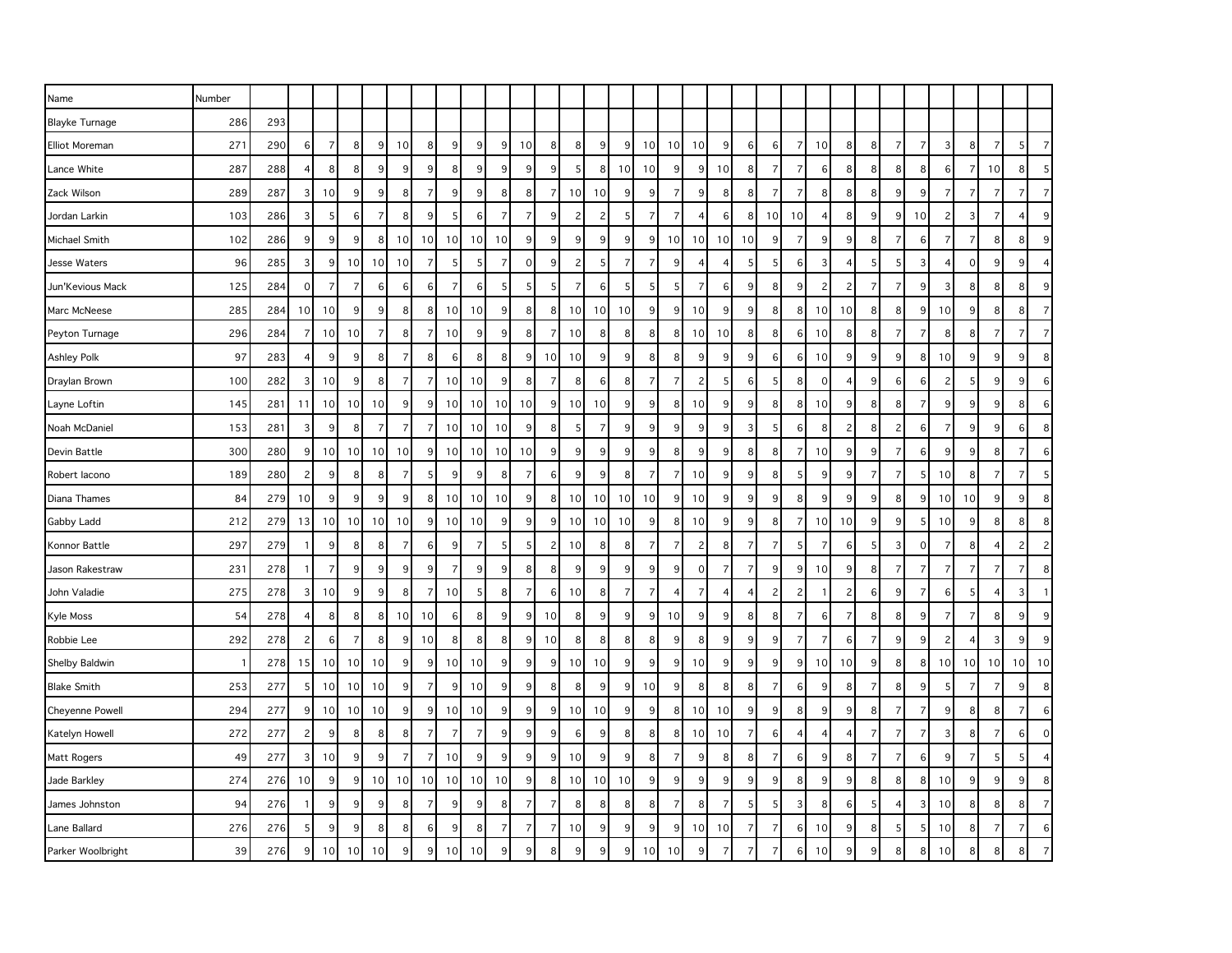| Name                   | Number |     |                |                 |                |                 |                |                |                |                 |                |                |                |                |                 |                |                |                 |                |                 |                |                |                |                |                |                |                |                |                |                |                |                 |                |
|------------------------|--------|-----|----------------|-----------------|----------------|-----------------|----------------|----------------|----------------|-----------------|----------------|----------------|----------------|----------------|-----------------|----------------|----------------|-----------------|----------------|-----------------|----------------|----------------|----------------|----------------|----------------|----------------|----------------|----------------|----------------|----------------|----------------|-----------------|----------------|
| <b>Blayke Turnage</b>  | 286    | 293 |                |                 |                |                 |                |                |                |                 |                |                |                |                |                 |                |                |                 |                |                 |                |                |                |                |                |                |                |                |                |                |                |                 |                |
| <b>Elliot Moreman</b>  | 271    | 290 | $6 \mid$       | $\overline{7}$  | 8              | 9               | 10             | 8              | 9              | 9               | 9              | 10             | 8              | 8              | 9               | 9              | 10             | 10 <sup>1</sup> | 10             | 9               | 6              | $\,6$          | $\overline{7}$ | 10             | 8              | 8              | $\overline{7}$ | $\overline{7}$ | 3              | 8              | $\overline{7}$ | 5 <sub>l</sub>  | $\overline{7}$ |
| Lance White            | 287    | 288 |                | 8               | 8              | 9               | 9              | 9              | 8              | 9               | 9              | 9              | 9              | 5              | 8               | 10             | 10             | 9 <sup>1</sup>  | 9              | 10              | 8              | $\overline{7}$ | $\overline{7}$ | 6              | 8              | 8              | 8              | 8              | 6              | 7              | 10             | 8 <sup>1</sup>  | 5              |
| Zack Wilson            | 289    | 287 | 3              | 10              | 9              | 9               | 8              | $\overline{7}$ | 9              | 9               | 8              | 8              | 7              | 10             | 10 <sup>1</sup> | 9              | 9              | $\overline{7}$  | 9              | 8               | 8              | 7              | $\overline{7}$ | 8              | 8              | 8              | 9              | 9              | 7              | 7              | 7              | 7               | $\overline{7}$ |
| Jordan Larkin          | 103    | 286 | 3              | 5               | 6              | $\overline{7}$  | 8              | 9              | 5              | 6               | $\overline{7}$ | $\overline{7}$ | 9              | $\overline{c}$ | 2               | 5              | $\overline{7}$ | $\overline{7}$  | $\overline{4}$ | 6               | 8              | 10             | 10             | 4              | 8              | 9              | 9              | 10             | $\mathbf{2}$   | 3              | $\overline{7}$ | 4               | 9              |
| Michael Smith          | 102    | 286 | 9              | 9               | 9              | 8               | 10             | 10             | 10             | 10              | 10             | 9              | 9              | 9              | 9               | 9              | 9              | 10 <sup>1</sup> | 10             | 10              | 10             | 9              | $\overline{7}$ | 9              | 9              | 8              | -7             | 6              | 7              | 7              | 8              | 8               | 9              |
| Jesse Waters           | 96     | 285 | 3              | 9               | 10             | 10              | 10             | 7              | 5              | 5               | $\overline{7}$ | 0              | 9              | $\overline{c}$ | 5               | $\overline{7}$ | $\overline{7}$ | 9               | $\overline{4}$ | 4               | 5              | 5              | 6              | 3              | 4              | 5              | 5              | 3              | 4              | 0              | 9              | 9               | $\overline{4}$ |
| Jun'Kevious Mack       | 125    | 284 | $\overline{0}$ | $\overline{7}$  | $\overline{7}$ | 6               | 6              | 6              | $\overline{7}$ | 6               | 5              | 5              | 5              | $\overline{7}$ | $6 \mid$        | 5              | 5              | 5 <sub>l</sub>  | $\overline{7}$ | 6               | 9              | 8              | 9 <sup>1</sup> | $\overline{c}$ | $\overline{c}$ | $\overline{7}$ | 7              | 9              | 3              | 8              | 8              | 8               | 9              |
| Marc McNeese           | 285    | 284 | 10             | 10              | 9              | 9               | 8              | 8              | 10             | 10              | 9              | 8              | 8              | 10             | 10 <sup>1</sup> | 10             | 9              | 9 <sub>o</sub>  | 10             | 9               | 9              | 8              | 8              | 10             | 10             | 8              | 8              | 9              | 10             | 9              | 8              | 8 <sup>1</sup>  | $\overline{7}$ |
| Peyton Turnage         | 296    | 284 | 7              | 10 <sup>1</sup> | 10             | $\overline{7}$  | 8              | $\overline{7}$ | 10             | 9               | 9              | 8              | -7             | 10             | 8               | 8              | 8              | 8 <sup>1</sup>  | 10             | 10 <sup>1</sup> | 8              | 8              | 6              | 10             | 8              | 8              | 7              | 7              | 8              | 8              | 7              | $\overline{7}$  | $\overline{7}$ |
| Ashley Polk            | 97     | 283 | 4              | 9               | 9              | 8               | $\overline{7}$ | 8              | 6              | 8               | 8              | 9              | 10             | 10             | 9               | 9              | 8              | 8 <sup>1</sup>  | 9              | 9               | 9              | 6              | 6              | 10             | 9              | 9              | 9              | 8              | 10             | 9              | 9              | 9               | 8              |
| Draylan Brown          | 100    | 282 | 3              | 10              | 9              | 8 <sup>1</sup>  | $\overline{7}$ | $\overline{7}$ | 10             | 10              | 9              | 8              | $\overline{7}$ | 8              | $6 \mid$        | 8              | $\overline{7}$ | $\overline{7}$  | $\overline{c}$ | 5               | 6              | 5              | 8 <sup>1</sup> | $\mathbf 0$    | $\overline{4}$ | 9              | 6              | 6              | $\overline{c}$ | 5              | 9              | 9               | 6              |
| Layne Loftin           | 145    | 281 | 11             | 10 <sup>1</sup> | 10             | 10              | 9              | 9              | 10             | 10 <sup>1</sup> | 10             | 10             | 9              | 10             | 10              | 9              | 9              | 8 <sup>1</sup>  | 10             | 9               | 9              | 8              | 8 <sup>1</sup> | 10             | 9              | 8              | 8              | $\overline{7}$ | 9              | 9              | $9\,$          | 8               | 6              |
| Noah McDaniel          | 153    | 281 | 3              | 9               | 8              | $\overline{7}$  | $\overline{7}$ | 7              | 10             | 10              | 10             | 9              | 8              | 5              | $\overline{7}$  | 9              | 9              | 9               | 9              | 9               | 3              | 5              | 6              | 8              | $\overline{c}$ | 8              | $\overline{c}$ | 6              | $\overline{7}$ | 9              | 9              | 6               | 8              |
| Devin Battle           | 300    | 280 | 9              | 10 <sup>1</sup> | 10             | 10 <sup>1</sup> | 10             | 9              | 10             | 10              | 10             | 10             | 9              | 9              | 9               | 9              | 9              | 8 <sup>1</sup>  | 9              | 9               | 8              | 8              | $\overline{7}$ | 10             | 9              | 9              | 7              | 6              | 9              | 9              | 8              |                 | 6              |
| Robert lacono          | 189    | 280 | 2              | 9               | 8              | 8               | 7              | 5              | 9              | 9               | 8              | $\overline{7}$ | 6              | 9              | 9               | 8              | $\overline{7}$ | $\overline{7}$  | 10             | 9               | 9              | 8              | 5              | 9              | 9              | 7              | 7              | 5              | 10             | 8              | $\overline{7}$ | $\overline{7}$  | 5              |
| Diana Thames           | 84     | 279 | 10             | 9               | 9              | 9               | 9              | 8              | 10             | 10              | 10             | 9              | 8              | 10             | 10 <sup>1</sup> | 10             | 10             | 9               | 10             | 9               | 9              | 9              | 8              | 9              | 9              | 9              | 8              | 9              | 10             | 10             | 9              | 9               | 8              |
| Gabby Ladd             | 212    | 279 | 13             | 10 <sup>1</sup> | 10             | 10              | 10             | 9              | 10             | 10              | 9              | 9              | 9              | 10             | 10              | 10             | 9              | 8 <sup>1</sup>  | 10             | 9               | 9              | 8              | $\overline{7}$ | 10             | 10             | 9              | 9              | 5              | 10             | q              | 8              | 8               | 8              |
| Konnor Battle          | 297    | 279 | 1              | 9               | 8              | 8               | 7              | 6              | 9              |                 | 5              | 5              | $\overline{c}$ | 10             | 8 <sup>1</sup>  | 8              | $\overline{7}$ | $\overline{7}$  | $\overline{c}$ | 8               | $\overline{7}$ | $\overline{7}$ | 5              | 7              | 6              | 5              | 3              | $\mathbf 0$    | 7              | 8              | $\overline{4}$ | 2               | $\overline{c}$ |
| Jason Rakestraw        | 231    | 278 | -1             | $\overline{7}$  | 9              | 9               | 9              | 9              | 7              | 9               | 9              | 8              | 8              | 9              | 9               | 9              | 9              | 9 <sup>1</sup>  | $\mathbf 0$    | 7               | $\overline{7}$ | 9              | 9 <sup>1</sup> | 10             | 9              | 8              | 7              | $\overline{7}$ | 7              | -7             | $\overline{7}$ | 7               | 8              |
| John Valadie           | 275    | 278 | $\overline{3}$ | 10              | 9              | 9               | 8              | $\overline{7}$ | 10             | 5               | 8              | 7              | 6              | 10             | 8 <sup>1</sup>  | 7              | $\overline{7}$ | $\overline{4}$  | $\overline{7}$ | $\overline{4}$  | $\overline{4}$ | $\overline{c}$ | $\overline{c}$ | -1             | $\overline{c}$ | 6              | 9              | $\overline{7}$ | 6              | 5              | $\overline{4}$ | 3               | $\overline{1}$ |
| Kyle Moss              | 54     | 278 | 4              | 8               | 8              | 8               | 10             | 10             | 6              | 8               | 9              | 9              | 10             | 8              | 9               | 9              | 9              | 10              | 9              | 9               | 8              | 8              | $\overline{7}$ | 6              | $\overline{7}$ | 8              | 8              | 9              | 7              | 7              | 8              | 9               | 9              |
| Robbie Lee             | 292    | 278 | 2              | 6               | $\overline{7}$ | 8               | 9              | 10             | 8              | 8               | 8              | 9              | 10             | 8              | 8               | 8              | 8              | 9               | 8              | 9               | 9              | 9              | $\overline{7}$ | 7              | 6              | 7              | 9              | 9              | $\overline{c}$ |                | 3              | 9               | 9              |
| Shelby Baldwin         |        | 278 | 15             | 10              | 10             | 10              | 9              | 9              | 10             | 10              | 9              | 9              | 9              | 10             | 10              | 9              | 9              | 9 <sub>o</sub>  | 10             | 9               | 9              | 9              | 9 <sup>1</sup> | 10             | 10             | 9              | 8              | 8              | 10             | 10             | 10             | 10 <sup>1</sup> | 10             |
| <b>Blake Smith</b>     | 253    | 277 | 5 <sub>l</sub> | 10 <sup>1</sup> | 10             | 10              | 9              | $\overline{7}$ | 9              | 10              | 9              | 9              | 8              | 8              | 9               | 9 <sub>l</sub> | 10             | 9               | 8              | 8               | 8              | $\overline{7}$ | 6              | 9              | 8              | 7              | 8              | 9              | 5              |                | 7              | 9               | 8              |
| <b>Cheyenne Powell</b> | 294    | 277 | 9              | 10 <sup>1</sup> | 10             | 10              | 9              | 9              | 10             | 10              | 9              | 9              | 9              | 10             | 10              | 9              | 9              | 8 <sup>1</sup>  | 10             | 10              | 9              | 9              | 8 <sup>1</sup> | 9              | 9              | 8              | 7              | $\overline{7}$ | 9              | 8              | 8              | $\overline{7}$  | 6              |
| Katelyn Howell         | 272    | 277 | 2              | 9               | 8              | 8               | 8              | 7              | 7              | 7               | 9              | 9              | 9              | 6              | 9               | 8              | 8              | 8 <sup>1</sup>  | 10             | 10              | 7              | 6              | 4              | 4              | $\overline{4}$ | 7              | 7              | $\overline{7}$ | 3              | 8              | 7              | $6 \mid$        | $\mathbf{0}$   |
| Matt Rogers            | 49     | 277 | 3              | 10              | 9              | 9               | $\overline{7}$ | $\overline{7}$ | 10             | 9               | 9              | 9              | 9              | 10             | 9               | 9              | 8              | $\overline{7}$  | 9              | 8               | 8              | $\overline{7}$ | 6              | 9              | 8              | $\overline{7}$ | $\overline{7}$ | $\,6$          | 9              | $\overline{7}$ | 5              | 5               | $\overline{4}$ |
| Jade Barkley           | 274    | 276 | 10             | 9               | 9              | 10              | 10             | 10             | 10             | 10              | 10             | 9              | 8              | 10             | 10              | 10             | 9              | 9 <sub>o</sub>  | 9              | 9               | 9              | 9              | 8              | 9              | 9              | 8              | 8              | 8              | 10             | 9              | 9              | 9               | 8              |
| James Johnston         | 94     | 276 |                | 9               | 9              | 9               | 8              | $\overline{7}$ | 9              | 9               | 8              | $\overline{7}$ | 7              | 8              | 8               | 8              | 8              | $\overline{7}$  | 8              | $\overline{7}$  | 5              | 5              | 3              | 8              | 6              | 5              |                | 3              | 10             | 8              | 8              | 8               | $\overline{7}$ |
| Lane Ballard           | 276    | 276 | 5              | 9               | 9              | 8               | 8              | 6              | 9              | 8               | 7              | 7              | 7              | 10             | 9 <sub>l</sub>  | 9              | 9              | 9 <sub>o</sub>  | 10             | 10              | 7              | $\overline{7}$ | 6              | 10             | 9              | 8              | 5              | 5              | 10             | 8              | 7              | 7               | 6              |
| Parker Woolbright      | 39     | 276 | 9              | 10              | 10             | 10              |                | 9              | 10             | 10              | 9              |                |                | 9              | 9               | 9              | 10             | 10              | $\epsilon$     |                 |                |                | 6              | 10             | 9              | 9              |                | 8              | 10             |                | 8              |                 | $\overline{7}$ |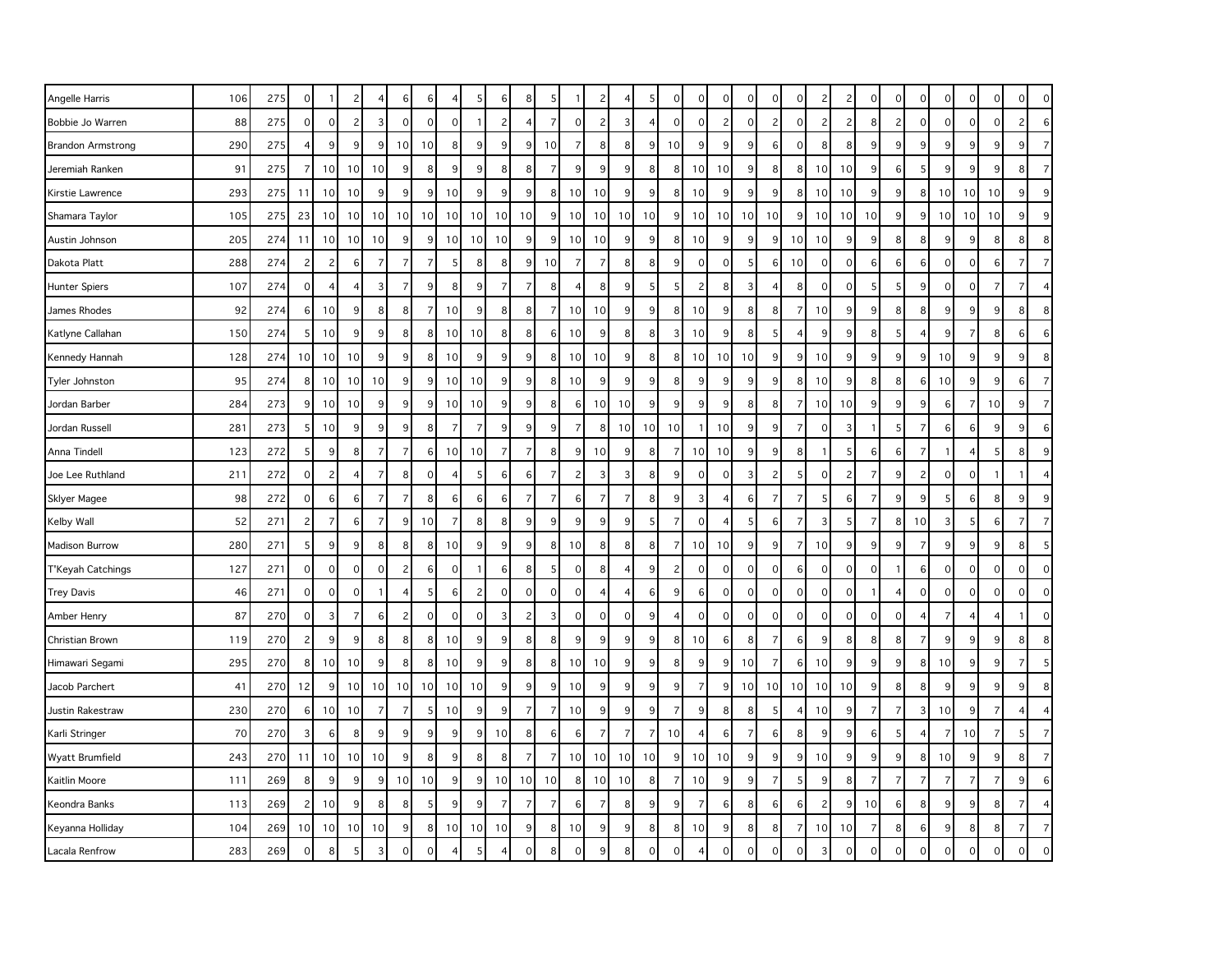| Angelle Harris           | 106 | 275 | 0                   |                 | 2               |                | 6               | 6              |             | 5               | 6              | 8              |                |                | 2               |                 | 5              | 0              | 0               | $\mathbf 0$         | 0               | 0               | 0              | 2               | 2              | 0              | 0              | $\mathbf 0$              | 0               | $\alpha$       | 0              | $\overline{0}$ | $\mathbf{0}$   |
|--------------------------|-----|-----|---------------------|-----------------|-----------------|----------------|-----------------|----------------|-------------|-----------------|----------------|----------------|----------------|----------------|-----------------|-----------------|----------------|----------------|-----------------|---------------------|-----------------|-----------------|----------------|-----------------|----------------|----------------|----------------|--------------------------|-----------------|----------------|----------------|----------------|----------------|
| Bobbie Jo Warren         | 88  | 275 | $\mathbf 0$         | $\mathbf{0}$    | $\overline{c}$  | 3              | $\Omega$        | $\mathbf 0$    | $\mathbf 0$ |                 | $\overline{c}$ | 4              | $\overline{7}$ | $\mathbf 0$    | 2               | $\overline{3}$  | $\overline{4}$ | 0              | $\overline{0}$  | $\overline{c}$      | $\mathbf{0}$    | $\overline{c}$  | $\mathbf 0$    | 2               | $\overline{c}$ | 8              | 2              | $\mathbf 0$              | $\mathbf{0}$    | $\Omega$       | $\mathbf 0$    | $\overline{2}$ | 6              |
| <b>Brandon Armstrong</b> | 290 | 275 | 4                   | 9               | 9               | 9              | 10 <sup>1</sup> | 10             | 8           | 9               | $9\,$          | 9              | 10             | $\overline{7}$ | 8 <sup>1</sup>  | 8               | 9              | 10             | $\vert 9 \vert$ | 9                   | 9               | 6               | 0              | 8 <sup>1</sup>  | 8              | 9              | 9              | 9                        | 9               | 9              | $9\,$          | 9              | $\overline{7}$ |
| Jeremiah Ranken          | 91  | 275 | $\overline{7}$      | 10              | 10              | 10             | 9               | 8              | 9           | 9               | 8              | 8              | 7              | 9              | 9               | 9               | 8              | 8              | 10              | 10                  | 9               | 8               | 8              | 10 <sup>1</sup> | 10             | 9              | 6              | 5                        | 9               | q              | 9              | 8              | $\overline{7}$ |
| Kirstie Lawrence         | 293 | 275 | 11                  | 10              | 10              | 9              | 9               | 9              | 10          | 9               | 9              | 9              | 8              | 10             | 10              | $\overline{9}$  | 9              | 8              | 10              | 9                   | 9               | 9               | 8              | 10 <sup>1</sup> | 10             | 9              | 9              | 8                        | 10 <sup>1</sup> | 10             | 10             | 9              | 9              |
| Shamara Taylor           | 105 | 275 | 23                  | 10              | 10 <sup>1</sup> | 10             | 10 <sup>1</sup> | 10             | 10          | 10 <sup>1</sup> | 10             | 10             | 9              | 10             | 10              | 10 <sup>1</sup> | 10             | 9              | 10              | 10                  | 10 <sup>1</sup> | 10              | 9              | 10 <sup>1</sup> | 10             | 10             | 9              | 9                        | 10              | 10             | 10             | 9              | 9              |
| Austin Johnson           | 205 | 274 | 11                  | 10              | 10              | 10             | 9               | 9              | 10          | 10 <sup>1</sup> | 10             | 9              | 9              | 10             | 10              | 9 <sup>1</sup>  | 9              | 8              | 10              | 9                   | 9               | 9               | 10             | 10 <sup>1</sup> | 9              | 9              | 8 <sup>1</sup> | 8                        | 9               | 9              | 8              | 8              | 8              |
| Dakota Platt             | 288 | 274 | $\overline{c}$      | 2               | 6               | $\overline{7}$ | $\overline{7}$  | $\overline{7}$ | 5           | 8               | 8              | 9              | 10             | $\overline{7}$ | $\overline{7}$  | 8               | 8              | 9              | $\Omega$        | $\mathbf 0$         | 5               | 6               | 10             | $\overline{0}$  | $\mathbf 0$    | 6              | 6              | 6                        | $\mathbf 0$     | $\Omega$       | 6              | $\overline{7}$ | $\overline{7}$ |
| <b>Hunter Spiers</b>     | 107 | 274 | $\mathbf 0$         | $\overline{4}$  | $\overline{4}$  | 3              | $\overline{7}$  | 9              | 8           | 9               | $\overline{7}$ | $\overline{7}$ | 8              | $\overline{4}$ | 8               | 9               | 5              | 5 <sup>1</sup> | $\overline{c}$  | 8                   | 3               | $\overline{4}$  | 8              | $\Omega$        | $\mathbf 0$    | 5              | 5              | 9                        | $\mathbf{0}$    | 0              | $\overline{7}$ | $\overline{7}$ | $\overline{4}$ |
| James Rhodes             | 92  | 274 | 6                   | 10              | 9               | 8              | 8 <sup>1</sup>  | $\overline{7}$ | 10          | 9               | 8              | 8              |                | 10             | 10              | 9               | 9              | 8              | 10              | 9                   | 8               | 8               | $\overline{7}$ | 10 <sup>1</sup> | 9              | 9              | 8              | 8                        | 9               |                | 9              | 8              | 8              |
| Katlyne Callahan         | 150 | 274 | 5                   | 10              | 9               | 9              | 8 <sup>1</sup>  | 8              | 10          | 10              | 8              | 8              | 6              | 10             | 9               | 8               | 8              | 3              | 10              | 9                   | 8               | 5               | $\overline{4}$ | 9               | 9              | 8              | 5              | $\overline{4}$           | 9               | 7              | 8              | $6 \mid$       | 6              |
| Kennedy Hannah           | 128 | 274 | 10                  | 10              | 10              | 9              | 9               | 8              | 10          | 9               | 9              | 9              | 8              | 10             | 10              | 9               | 8              | 8              | 10              | 10                  | 10              | 9               | 9              | 10              | 9              | 9              | 9              | 9                        | 10              |                | 9              | 9              | 8              |
| Tyler Johnston           | 95  | 274 | 8                   | 10 <sup>1</sup> | 10              | 10             | $\overline{9}$  | 9              | 10          | 10              | 9              | $\overline{9}$ | 8              | 10             | 9 <sup>°</sup>  | 9               | 9              | 8 <sup>1</sup> | 9               | 9                   | 9               | 9               | 8              | 10              | 9              | 8              | 8 <sup>1</sup> | 6                        | 10              | 9              | 9              | 6              | $\overline{7}$ |
| Jordan Barber            | 284 | 273 | 9                   | 10              | 10              | 9              | 9               | 9              | 10          | 10              | 9              | 9              | 8              | 6              | 10              | 10              | 9              | 9              | 9               | 9                   | 8               | 8               | 7              | 10 <sup>1</sup> | 10             | 9              | 9              | 9                        | 6               | 7              | 10             | 9              | $\overline{7}$ |
| Jordan Russell           | 281 | 273 | 5                   | 10              | 9               | 9              | 9               | 8              | 7           | $\overline{7}$  | 9              | 9              | 9              | $\overline{7}$ | 8               | 10              | 10             | 10             | $\overline{1}$  | 10                  | 9               | 9               | $\overline{7}$ | $\overline{0}$  | 3              | $\mathbf{1}$   | 5              | $\overline{7}$           | 6               | 6              | 9              | $\overline{9}$ | 6              |
| Anna Tindell             | 123 | 272 | 5                   | 9               | 8               | $\overline{7}$ | $\overline{7}$  | 6              | 10          | 10              | $\overline{7}$ | $\overline{7}$ | 8              | 9              | 10              | 9               | 8              | $\overline{7}$ | 10              | 10                  | 9               | 9               | 8              |                 | 5              | 6              | 6              | $\overline{7}$           | $\mathbf{1}$    | $\overline{4}$ | 5              | 8              | 9              |
| Joe Lee Ruthland         | 211 | 272 | $\mathbf 0$         | $\mathbf{2}$    | $\overline{4}$  | $\overline{7}$ | 8 <sup>1</sup>  | $\mathbf 0$    | 4           | 5               | 6              | 6              | 7              | $\overline{c}$ | 3               | 3               | 8              | 9              | $\mathbf 0$     | $\mathbf 0$         | 3               | $\overline{c}$  | 5              | $\overline{0}$  | $\overline{c}$ | $\overline{7}$ | 9              | $\overline{c}$           | $\circ$         | $\mathbf 0$    | $\mathbf{1}$   |                | $\overline{4}$ |
| Sklyer Magee             | 98  | 272 | $\mathbf 0$         | 6               | 6               | $\overline{7}$ | $\overline{7}$  | 8              | 6           | 6               | 6              | $\overline{7}$ | 7              | 6              | $\overline{7}$  | $\overline{7}$  | 8              | 9              | 3               | $\overline{4}$      | 6               | 7               | $\overline{7}$ | 5               | 6              | $\overline{7}$ | 9              | 9                        | 5               | 6              | 8              | 9              | 9              |
| Kelby Wall               | 52  | 271 | $\overline{c}$      | $\overline{7}$  | 6               | 7              | 9               | 10             | 7           | 8               | 8              | 9              | q              | 9              | 9               | 9               | -5             | 7              | $\mathbf 0$     | 4                   | 5               | 6               | 7              | 3               | -5             | 7              | 8 <sup>1</sup> | 10                       | 3               | 5              | 6              | $\overline{7}$ | $\overline{7}$ |
| Madison Burrow           | 280 | 271 | 5                   | 9               | 9               | 8              | 8 <sup>1</sup>  | 8              | 10          | 9               | 9              | 9              | 8              | 10             | 8 <sup>2</sup>  | 8               | 8              | 7              | 10              | 10                  | 9               | 9               | $\overline{7}$ | 10 <sup>1</sup> | 9              | 9              | 9              | $\overline{7}$           | 9               | 9              | 9              | 8              | 5              |
| T'Keyah Catchings        | 127 | 271 | $\mathbf 0$         | $\mathbf{0}$    | $\mathbf 0$     | $\Omega$       | $\overline{2}$  | 6              | $\mathbf 0$ |                 | 6              | 8              | F,             | $\mathbf 0$    | 8 <sup>1</sup>  |                 | 9              | 2              | $\Omega$        | $\mathbf 0$         | $\mathbf 0$     | $\mathbf 0$     | 6              | $\Omega$        | $\mathbf 0$    | $\mathbf 0$    |                | 6                        | $\mathbf{O}$    | $\Omega$       | $\mathbf 0$    | $\overline{0}$ | $\mathbf{0}$   |
| <b>Trey Davis</b>        | 46  | 271 | $\mathbf 0$         | $\mathbf{0}$    | $\overline{0}$  |                | $\overline{4}$  | 5              | 6           | $\overline{c}$  | $\mathbf 0$    | $\overline{0}$ | $\Omega$       | $\mathbf 0$    | $\overline{4}$  | $\overline{a}$  | 6              | 9              | $6 \mid$        | $\mathsf{O}\xspace$ | $\mathbf{0}$    | 0               | $\mathbf 0$    | $\Omega$        | $\mathbf 0$    | $\overline{1}$ | $\overline{4}$ | $\mathbf 0$              | $\mathbf 0$     | $\mathbf 0$    | $\mathbf 0$    | $\overline{0}$ | $\mathbf{0}$   |
| Amber Henry              | 87  | 270 | $\mathbf 0$         | $\overline{3}$  | $\overline{7}$  | 6              | $\overline{2}$  | $\mathbf 0$    | $\Omega$    | $\Omega$        | 3              | $\overline{c}$ | Э              | $\Omega$       | $\Omega$        | $\Omega$        | 9              | 4              | $\Omega$        | $\mathsf{O}\xspace$ | $\Omega$        | $\Omega$        | $\Omega$       | $\Omega$        | $\mathbf 0$    | $\Omega$       | $\Omega$       | $\overline{\mathcal{L}}$ | $\overline{7}$  |                | $\overline{4}$ |                | $\Omega$       |
| Christian Brown          | 119 | 270 | $\overline{c}$      | 9               | 9               | 8              | 8 <sup>1</sup>  | 8              | 10          | 9               | 9              | 8              | 8              | $9\,$          | 9               | $\overline{9}$  | 9              | 8              | 10              | 6                   | 8               | 7               | 6              | 9               | 8              | 8              | 8              | $\overline{7}$           | 9               | 9              | $9\,$          | 8 <sup>1</sup> | 8              |
| Himawari Segami          | 295 | 270 | 8                   | 10 <sup>1</sup> | 10              | 9              | 8 <sup>1</sup>  | 8              | 10          | 9               | 9              | 8              | 8              | 10             | 10              | 9               | 9              | 8              | 9               | 9                   | 10              | $\overline{7}$  | 6              | 10 <sup>1</sup> | 9              | 9              | 9              | 8                        | 10              | q              | 9              | $\overline{7}$ | 5              |
| Jacob Parchert           | 41  | 270 | 12                  | 9               | 10 <sup>1</sup> | 10             | 10 <sup>1</sup> | 10             | 10          | 10              | 9              | 9              | 9              | 10             | $\vert 9 \vert$ | $\overline{9}$  | 9              | 9              | $\overline{7}$  | 9                   | 10 <sup>1</sup> | 10 <sup>1</sup> | 10             | 10 <sup>1</sup> | 10             | 9              | 8 <sup>1</sup> | 8                        | 9               | 9              | 9              | 9              | 8              |
| Justin Rakestraw         | 230 | 270 | 6                   | 10 <sup>1</sup> | 10              | $\overline{7}$ | $\overline{7}$  | 5              | 10          | 9               | 9              | $\overline{7}$ | 7              | 10             | $\overline{9}$  | 9               | 9              | $\overline{7}$ | 9               | 8                   | 8               | 5               | 4              | 10 <sup>1</sup> | 9              | $\overline{7}$ | $\overline{7}$ | 3                        | 10 <sup>1</sup> | 9              | $\overline{7}$ | 4              | $\overline{4}$ |
| Karli Stringer           | 70  | 270 | 3                   | 6               | 8               | 9              | 9               | 9              | 9           | 9               | 10             | 8              | 6              | 6              | 7               | 7               | $\overline{7}$ | 10             | 4               | 6                   | 7               | 6               | 8              | 9               | 9              | 6              | 5              | $\overline{4}$           | $\overline{7}$  | 10             | $\overline{7}$ | 5 <sup>5</sup> | $\overline{7}$ |
| Wyatt Brumfield          | 243 | 270 | 11                  | 10 <sup>1</sup> | 10              | 10             | 9 <sup>1</sup>  | 8              | 9           | 8               | 8              | $\overline{7}$ | $\overline{7}$ | 10             | 10              | 10              | 10             | 9              | 10              | 10                  | 9               | 9               | 9              | 10              | 9              | 9              | 9              | 8                        | 10              | 9              | $9\,$          | 8 <sup>1</sup> | $\overline{7}$ |
| Kaitlin Moore            | 111 | 269 | 8                   | 9               | 9               | 9              | 10 <sup>1</sup> | 10             | 9           | 9 <sub>o</sub>  | 10             | 10             | 10             | 8              | 10              | 10              | 8              | 7              | 10              | 9                   | 9               | $\overline{7}$  | 5              | 9               | 8              | 7              | 7              | $\overline{7}$           | $\overline{7}$  | $\overline{7}$ | $\overline{7}$ | 9              | 6              |
| Keondra Banks            | 113 | 269 | $\overline{c}$      | 10              | 9               | 8              | 8 <sup>1</sup>  | -5             | 9           | 9               | $\overline{7}$ | $\overline{7}$ | 7              | 6              | $\overline{7}$  | 8               | 9              | 9              | $\overline{7}$  | 6                   | 8               | 6               | 6              | 2               | 9              | 10             | 6              | 8                        | 9               | 9              | 8              | $\overline{7}$ | $\overline{4}$ |
| Keyanna Holliday         | 104 | 269 | 10                  | 10              | 10              | 10             | 9 <sub>l</sub>  | 8              | 10          | 10              | 10             | 9              | 8              | 10             | $\vert 9 \vert$ | 9               | 8              | 8 <sup>1</sup> | 10              | 9                   | 8               | 8               | 7              | 10 <sup>1</sup> | 10             | 7              | 8              | 6                        | 9               | 8              | 8              | $\overline{7}$ | $\overline{7}$ |
| Lacala Renfrow           | 283 | 269 | $\mathsf{O}\xspace$ | 8               | 5               | 3              | $\Omega$        | $\epsilon$     |             |                 |                | 0              |                | $\mathbf 0$    | 9               |                 | $\Omega$       |                |                 |                     |                 |                 |                | 3               | C              | 0              | $\Omega$       | $\Omega$                 | 0               |                | $\Omega$       |                | $\Omega$       |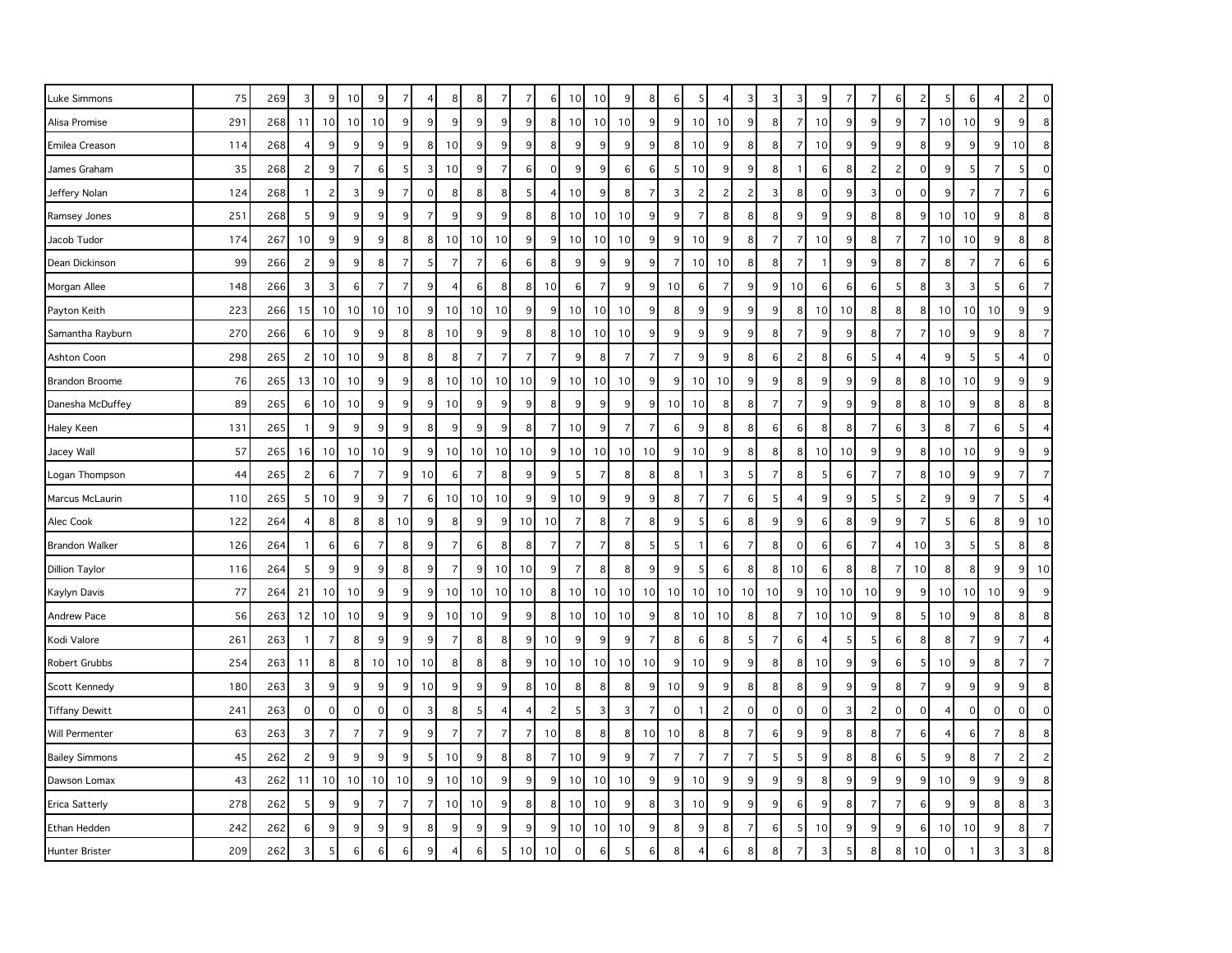| Luke Simmons          | 75  | 269 | 3              | 9               | 10             | 9              | 7               | $\overline{4}$ | 8              | 8              | 7              | $\overline{7}$ | 6              | 10             | 10             | 9               | 8              | 6               | 5              |                | 3              | 3              | 3               | 9              | -7    | 7              |                | $\overline{c}$      | 5               |             |                | 2              | $\mathsf{O}\xspace$ |
|-----------------------|-----|-----|----------------|-----------------|----------------|----------------|-----------------|----------------|----------------|----------------|----------------|----------------|----------------|----------------|----------------|-----------------|----------------|-----------------|----------------|----------------|----------------|----------------|-----------------|----------------|-------|----------------|----------------|---------------------|-----------------|-------------|----------------|----------------|---------------------|
| Alisa Promise         | 291 | 268 | 11             | 10 <sup>1</sup> | 10             | 10             | 9               | 9              | 9              | 9              | 9              | 9              | 8              | 10             | 10             | 10              | 9              | 9 <sub>l</sub>  | 10             | 10             | 9              | 8              | $\overline{7}$  | 10             | 9     | 9              | 9              | $\overline{7}$      | 10              | 10          | 9              | 9              | $8\phantom{1}$      |
| Emilea Creason        | 114 | 268 | $\overline{4}$ | 9               | 9              | 9              | 9 <sub>o</sub>  | 8              | 10             | 9              | $9\,$          | 9              | 8              | 9              | 9              | 9               | 9              | 8 <sup>1</sup>  | 10             | 9              | $8\phantom{1}$ | 8              | $\overline{7}$  | 10             | $9\,$ | 9              | 9              | 8                   | 9               | 9           | $9\,$          | 10             | 8                   |
| James Graham          | 35  | 268 | $\overline{c}$ | 9               | $\overline{7}$ | 6              | 5               | 3              | 10             | 9              | $\overline{7}$ | 6              | $\mathbf 0$    | 9              | 9              | 6               | 6              | 5               | 10             | 9              | 9              | 8              | $\mathbf{1}$    | 6              | 8     | $\overline{c}$ | $\overline{c}$ | $\mathsf{O}\xspace$ | 9               | 5           | $\overline{7}$ | 5              | $\mathbf 0$         |
| Jeffery Nolan         | 124 | 268 | $\mathbf{1}$   | $\overline{2}$  | 3              | 9              | 7               | $\mathbf 0$    | 8              | 8              | 8              | 5              |                | 10             | 9              | 8               | 7              | 3               | $\overline{c}$ | 2              | $\overline{2}$ | 3              | 8 <sup>1</sup>  | 0              | 9     | 3              | 0              | $\mathbf 0$         | 9               | 7           | 7              | 7              | 6                   |
| Ramsey Jones          | 251 | 268 | 5              | 9               | 9              | 9              | 9               | $\overline{7}$ | 9              | 9              | 9              | 8              | 8              | 10             | 10             | 10              | 9              | 9               | $\overline{7}$ | 8              | 8              | 8              | 9 <sup>1</sup>  | 9              | 9     | 8              | 8              | 9                   | 10 <sup>1</sup> | 10          | 9              | 8 <sup>1</sup> | $\boldsymbol{8}$    |
| Jacob Tudor           | 174 | 267 | 10             | 9               | 9              | 9              | 8 <sup>1</sup>  | 8              | 10             | 10             | 10             | 9              | 9              | 10             | 10             | 10              | 9              | 9               | 10             | 9              | $8\phantom{1}$ | $\overline{7}$ | $\overline{7}$  | 10             | $9\,$ | 8              | 7              | $\overline{7}$      | 10              | 10          | 9              | 8 <sup>1</sup> | 8                   |
| Dean Dickinson        | 99  | 266 | $\overline{c}$ | 9               | 9              | 8              | $\overline{7}$  | 5              | $\overline{7}$ | $\overline{7}$ | 6              | 6              | 8              | 9              | 9              | 9               | 9              | $\overline{7}$  | 10             | 10             | 8              | 8              | $\overline{7}$  |                | 9     | 9              | 8              | $\overline{7}$      | 8               | 7           | $\overline{7}$ | $6 \mid$       | 6                   |
| Morgan Allee          | 148 | 266 | 3              | 3               | 6              | $\overline{7}$ | $\overline{7}$  | 9              | 4              | 6              | 8              | 8              | 10             | 6              | $\overline{7}$ | 9               | 9              | 10 <sup>1</sup> | 6              | $\overline{7}$ | 9 <sub>o</sub> | 9              | 10              | 6              | 6     | 6              | 5              | 8                   | 3               | 3           | 5              | $6 \mid$       | $\overline{7}$      |
| Payton Keith          | 223 | 266 | 15             | 10 <sup>1</sup> | 10             | 10             | 10              | 9              | 10             | 10             | 10             | 9              | 9              | 10             | 10             | 10              | 9              | 8               | 9              | 9              | 9              | 9              | 8               | 10             | 10    | 8              | 8              | 8                   | 10 <sup>1</sup> | 10          | 10             | 9              | 9                   |
| Samantha Rayburn      | 270 | 266 | 6              | 10 <sup>1</sup> | 9              | 9              | 8               | 8              | 10             | 9              | 9              | 8              | 8              | 10             | 10             | 10              | 9              | 9               | 9              | 9              | $\overline{9}$ | 8              | 7               | 9              | 9     | 8              | 7              | $\overline{7}$      | 10              | 9           | 9              | 8              | $\overline{7}$      |
| Ashton Coon           | 298 | 265 | $\overline{c}$ | 10              | 10             | 9              | 8               | 8              | 8              | $\overline{7}$ | $\overline{7}$ | $\overline{7}$ |                | 9              | 8              | 7               | $\overline{7}$ | $\overline{7}$  | 9              | 9              | 8              | 6              | 2               | 8              | 6     | 5              |                | $\overline{4}$      | 9               |             | 5              |                | $\mathsf{O}\xspace$ |
| <b>Brandon Broome</b> | 76  | 265 | 13             | 10 <sup>1</sup> | 10             | 9              | 9               | 8              | 10             | 10             | 10             | 10             | 9              | 10             | 10             | 10              | 9              | 9               | 10             | 10             | 9              | 9              | 8 <sup>1</sup>  | 9              | 9     | 9              | 8              | 8                   | 10              | 10          | 9              | 9 <sub>o</sub> | 9                   |
| Danesha McDuffey      | 89  | 265 | 6              | 10 <sup>1</sup> | 10             | 9              | 9               | 9              | 10             | 9              | 9              | 9              | 8              | 9              | 9              | 9               | 9              | 10 <sup>1</sup> | 10             | 8              | 8              | $\overline{7}$ | $\overline{7}$  | 9              | 9     | 9              | 8              | 8                   | 10              | 9           | 8              | 8 <sup>1</sup> | 8                   |
| Haley Keen            | 131 | 265 | $\overline{1}$ | 9               | 9              | 9              | 9               | 8              | 9              | 9              | 9              | 8              | 7              | 10             | 9              | $\overline{7}$  | 7              | $6 \mid$        | 9              | 8              | 8              | 6              | $6 \mid$        | 8              | 8     | 7              | 6              | 3                   | 8               | 7           | 6              | 5 <sub>l</sub> | $\overline{4}$      |
| Jacey Wall            | 57  | 265 | 16             | 10 <sup>1</sup> | 10             | 10             | 9               | 9              | 10             | 10             | 10             | 10             | 9              | 10             | 10             | 10              | 10             | 9               | 10             | 9              | 8              | 8              | 8               | 10             | 10    | 9              |                | 8                   | 10              | 10          | 9              | 9              | 9                   |
| Logan Thompson        | 44  | 265 | $\overline{c}$ | 6               | $\overline{7}$ | $\overline{7}$ | 9               | 10             | 6              | 7              | 8              | 9              | 9              | 5              | 7              | 8               | 8              | 8 <sup>1</sup>  | $\overline{1}$ | 3              | 5 <sub>5</sub> | $\overline{7}$ | 8 <sup>1</sup>  | -5             | 6     | $\overline{7}$ | 7              | 8                   | 10              | 9           | 9              | 7              | $\overline{7}$      |
| Marcus McLaurin       | 110 | 265 | 5              | 10              | 9              | 9              | $\overline{7}$  | 6              | 10             | 10             | 10             | 9              | 9              | 10             | 9              | 9               | 9              | 8 <sup>1</sup>  | $\overline{7}$ | $\overline{7}$ | 6              | 5              | 4               | 9              | 9     | 5              | 5              | $\overline{c}$      | 9               | 9           | $\overline{7}$ | 5 <sup>1</sup> | $\overline{4}$      |
| Alec Cook             | 122 | 264 | 4              | 8               | 8              | 8              | 10              | 9              | 8              | 9              | 9              | 10             | 10             | 7              | 8              | $\overline{7}$  | 8              | 9               | -5             | 6              | 8              | 9              | 9 <sup>1</sup>  | 6              | 8     | 9              | 9              | $\overline{7}$      | 5               | 6           | 8              | 9 <sup>1</sup> | 10                  |
| <b>Brandon Walker</b> | 126 | 264 | $\mathbf{1}$   | 6               | 6              | $\overline{7}$ | 8               | 9              | $\overline{7}$ | 6              | 8              | 8              |                | $\overline{7}$ | $\overline{7}$ | 8               | 5              | 5               |                | 6              | $\overline{7}$ | 8              | $\overline{0}$  | 6              | 6     | $\overline{7}$ | 4              | 10                  | 3               | 5           | 5              | 8              | 8                   |
| <b>Dillion Taylor</b> | 116 | 264 | 5              | 9               | 9              | 9              | 8               | 9              | $\overline{7}$ | 9              | 10             | 10             | 9              | $\overline{7}$ | 8              | 8               | 9              | 9               | 5              | 6              | 8              | 8              | 10 <sup>1</sup> | 6              | 8     | 8              | -7             | 10                  | 8               | 8           | 9              | 9 <sub>l</sub> | 10                  |
| Kaylyn Davis          | 77  | 264 | 21             | 10 <sup>1</sup> | 10             | 9              | 9               | 9              | 10             | 10             | 10             | 10             | 8              | 10             | 10             | 10 <sup>1</sup> | 10             | 10 <sup>1</sup> | 10             | 10             | 10             | 10             | 9 <sup>1</sup>  | 10             | 10    | 10             | 9              | 9                   | 10              | 10          | 10             | 9 <sub>o</sub> | $9\,$               |
| Andrew Pace           | 56  | 263 | 12             | 10 <sup>1</sup> | 10             | 9              | 9               | 9              | 10             | 10             | $\overline{9}$ | 9              | 8              | 10             | 10             | 10              | 9              | 8               | 10             | 10             | 8              | 8              | $\overline{7}$  | 10             | 10    | 9              | 8              | 5                   | 10              | 9           | 8              | 8 <sup>1</sup> | 8                   |
| Kodi Valore           | 261 | 263 | -1             | $\overline{7}$  | 8              | 9              | 9               | 9              | $\overline{7}$ | 8              | 8              | 9              | 10             | 9              | 9              | 9               | $\overline{7}$ | 8 <sup>1</sup>  | 6              | 8              | 5              | $\overline{7}$ | $6 \mid$        | $\overline{4}$ | -5    | 5              | 6              | 8                   | 8               | 7           | 9              | $\overline{7}$ | $\overline{4}$      |
| Robert Grubbs         | 254 | 263 | 11             | 8               | 8              | 10             | 10 <sup>1</sup> | 10             | 8              | 8              | 8              | 9              | 10             | 10             | 10             | 10 <sup>1</sup> | 10             | 9 <sub>l</sub>  | 10             | 9              | 9              | 8              | 8 <sup>1</sup>  | 10             | 9     | 9              | 6              | 5                   | 10              | 9           | 8              | 7              | $\overline{7}$      |
| Scott Kennedy         | 180 | 263 | 3              | 9               | 9              | 9              | 9               | 10             | 9              | 9              | 9              | 8              | 10             | 8              | 8              | 8               | 9              | 10              | 9              | 9              | 8              | 8              | 8               | 9              | 9     | 9              | 8              | $\overline{7}$      | 9               | 9           | 9              | 9              | 8                   |
| <b>Tiffany Dewitt</b> | 241 | 263 | $\mathbf 0$    | $\overline{0}$  | $\mathbf 0$    | $\mathbf 0$    | $\mathbf 0$     | 3              | 8              | .5             | $\overline{4}$ |                | $\overline{c}$ | 5              | 3              | 3               | 7              | $\mathbf 0$     | -1             | $\overline{c}$ | $\mathbf{O}$   | $\mathbf 0$    | $\Omega$        | $\mathbf 0$    | 3     | 2              | $\mathbf 0$    | $\mathbf 0$         | $\overline{4}$  | $\mathbf 0$ | $\mathbf 0$    | $\mathbf 0$    | $\mathbf 0$         |
| Will Permenter        | 63  | 263 | 3              | $\overline{7}$  | $\overline{7}$ | $\overline{7}$ | 9               | 9              | $\overline{7}$ | $\overline{7}$ | $\overline{7}$ | $\overline{7}$ | 10             | 8              | 8              | 8               | 10             | 10              | 8              | 8              | $\overline{7}$ | 6              | 9               | 9              | 8     | 8              | $\overline{7}$ | 6                   | 4               | 6           | $\overline{7}$ | 8              | 8                   |
| <b>Bailey Simmons</b> | 45  | 262 | $\overline{c}$ | $\overline{9}$  | 9              | 9              | 9               | -5             | 10             | 9              | 8              | 8              | 7              | 10             | 9              | 9               | $\overline{7}$ | $\overline{7}$  | $\overline{7}$ | $\overline{7}$ | $\overline{7}$ | 5              | 5               | 9              | 8     | 8              | 6              | 5                   | 9               | 8           | $\overline{7}$ | 2              | $\overline{c}$      |
| Dawson Lomax          | 43  | 262 | 11             | 10 <sup>1</sup> | 10             | 10             | 10              | 9              | 10             | 10             | $9\,$          | 9              | 9              | 10             | 10             | 10              | 9              | 9               | 10             | 9              | 9              | 9              | 9               | 8              | 9     | 9              | 9              | 9                   | 10              | 9           | 9              | 9              | 8                   |
| <b>Erica Satterly</b> | 278 | 262 | 5              | 9               | 9              | $\overline{7}$ | $\overline{7}$  | $\overline{7}$ | 10             | 10             | 9              | 8              | 8              | 10             | 10             | 9               | 8              | 3               | 10             | 9              | 9              | 9              | 6               | 9              | 8     | $\overline{7}$ | $\overline{7}$ | 6                   | 9               | 9           | 8              | 8              | $\overline{3}$      |
| Ethan Hedden          | 242 | 262 | 6              | 9               | 9              | 9              | 9               | 8              | 9              | 9              | 9              | 9              | 9              | 10             | 10             | 10 <sup>1</sup> | 9              | 8 <sup>1</sup>  | 9              | 8              | $\overline{7}$ | 6              | 5 <sup>1</sup>  | 10             | 9     | 9              | 9              | 6                   | 10              | 10          | 9              | 8              | $\overline{7}$      |
| Hunter Brister        | 209 | 262 | 3              | 5               | 6              | 6              | 6               | 9              |                |                | 5              | 10             | 10             | $\mathbf 0$    | 6              | 5               | 6              | 8               |                | 6              | 8              | ε              |                 | 3              | 5     | 8              | 8              | 10                  | $\mathbf 0$     |             | 3              |                | 8                   |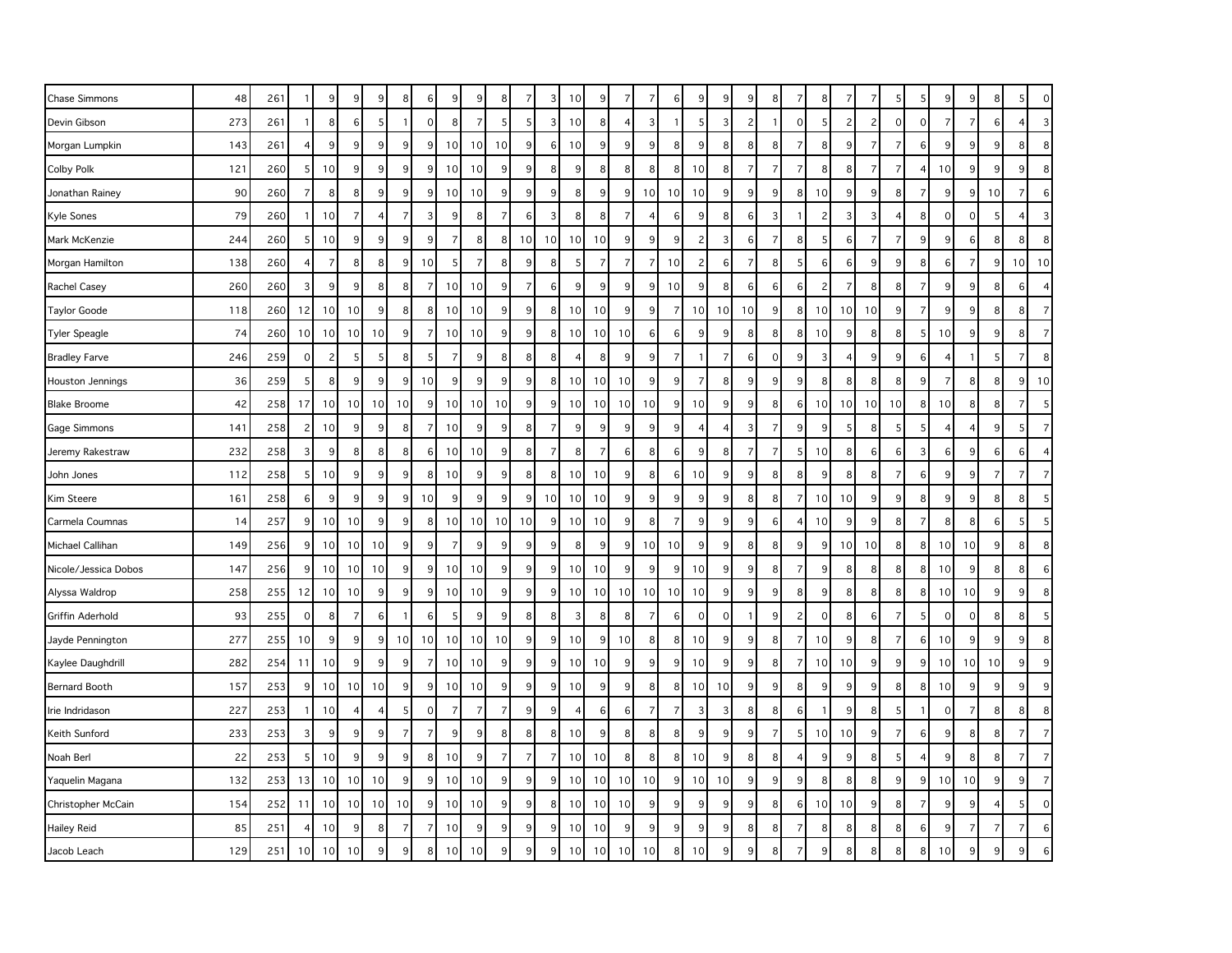| Chase Simmons        | 48  | 261 | -1             | 9               | 9               | 9  | 8               | 6              | 9              | 9               | 8              | 7              | 3  | 10             | 9              |                 | 7              | 6              | q              | 9              | 9              | 8              | 7                       | 8               | -7             |                |                | 5                       | 9               |                | 8              | 5              | $\mathbf{0}$     |
|----------------------|-----|-----|----------------|-----------------|-----------------|----|-----------------|----------------|----------------|-----------------|----------------|----------------|----|----------------|----------------|-----------------|----------------|----------------|----------------|----------------|----------------|----------------|-------------------------|-----------------|----------------|----------------|----------------|-------------------------|-----------------|----------------|----------------|----------------|------------------|
| Devin Gibson         | 273 | 261 | $\overline{1}$ | 8               | 6               | 5  |                 | $\mathbf 0$    | 8              | $\overline{7}$  | 5              | 5              | 3  | 10             | 8              |                 | 3              |                | 5              | 3              | 2              |                | $\Omega$                | 5 <sup>1</sup>  | $\overline{c}$ | $\overline{c}$ | $\mathbf 0$    | $\mathbf 0$             | $\overline{7}$  |                | 6              | $\overline{4}$ | $\mathbf{3}$     |
| Morgan Lumpkin       | 143 | 261 | $\overline{4}$ | 9               | 9               | 9  | 9 <sup>1</sup>  | 9              | 10             | 10              | 10             | 9              | 6  | 10             | 9              | $\overline{9}$  | 9              | 8              | 9              | 8              | 8              | 8              | $\overline{7}$          | 8 <sup>1</sup>  | 9              | $\overline{7}$ | $\overline{7}$ | 6                       | 9               | q              | 9              | 8 <sup>1</sup> | 8                |
| <b>Colby Polk</b>    | 121 | 260 | 5              | 10              | 9               | 9  | 9               | 9              | 10             | 10              | 9              | 9              | 8  | 9              | 8              | 8               | 8              | 8              | 10             | 8              | $\overline{7}$ | $\overline{7}$ | $\overline{7}$          | 8 <sup>1</sup>  | 8              | $\overline{7}$ | $\overline{7}$ | 4                       | 10              | $\overline{c}$ | 9              | 9              | 8                |
| Jonathan Rainey      | 90  | 260 | 7              | 8               | 8               | 9  | $\overline{9}$  | 9              | 10             | 10              | 9              | 9              | 9  | 8              | 9 <sup>°</sup> | 9               | 10             | 10             | 10             | 9              | $\overline{9}$ | 9              | 8                       | 10              | 9              | 9              | 8              | $\overline{7}$          | 9               |                | 10             | 7              | $6 \overline{6}$ |
| Kyle Sones           | 79  | 260 | -1             | 10              | 7               | 4  | $\overline{7}$  | 3              | 9              | 8               | $\overline{7}$ | 6              | 3  | 8              | 8              |                 | $\overline{4}$ | 6              | 9              | 8              | 6              | 3              |                         | 2               | 3              | 3              | 4              | 8                       | $\mathbf 0$     | $\Omega$       | 5              | $\overline{4}$ | $\overline{3}$   |
| Mark McKenzie        | 244 | 260 | 5              | 10              | 9               | 9  | 9               | 9              | $\overline{7}$ | 8               | 8              | 10             | 10 | 10             | 10             | 9               | 9              | 9              | 2              | 3              | 6              | $\overline{7}$ | 8                       | 5 <sup>1</sup>  | 6              | $\overline{7}$ | 7              | 9                       | 9               | 6              | 8              | 8 <sup>°</sup> | 8                |
| Morgan Hamilton      | 138 | 260 | 4              | $\overline{7}$  | 8               | 8  | 9               | 10             | 5              | 7               | 8              | 9              | ε  | 5              | $\overline{7}$ |                 | $\overline{7}$ | 10             | $\overline{c}$ | 6              | 7              | 8              | 5                       | 6               | 6              | 9              | 9              | 8                       | 6               | $\overline{ }$ | 9              | 10             | 10               |
| Rachel Casey         | 260 | 260 | $\overline{3}$ | 9               | 9               | 8  | 8 <sup>1</sup>  | $\overline{7}$ | 10             | 10              | 9              | $\overline{7}$ | 6  | 9              | 9              | $\overline{9}$  | 9              | 10             | 9              | 8              | 6              | 6              | 6                       | 2               | $\overline{7}$ | 8              | 8              | $\overline{7}$          | 9               | 9              | 8              | $6 \mid$       | $\overline{4}$   |
| <b>Taylor Goode</b>  | 118 | 260 | 12             | 10 <sup>1</sup> | 10              | 9  | 8 <sup>1</sup>  | 8              | 10             | 10              | 9              | 9              | 8  | 10             | 10             | 9               | 9              | $\overline{7}$ | 10             | 10             | 10             | 9              | 8                       | 10 <sup>1</sup> | 10             | 10             | 9              | $\overline{7}$          | 9               | 9              | 8              | 8              | $\overline{7}$   |
| <b>Tyler Speagle</b> | 74  | 260 | 10             | 10 <sup>1</sup> | 10              | 10 | 9 <sup>1</sup>  | $\overline{7}$ | 10             | 10              | 9              | 9              | 8  | 10             | 10             | 10              | 6              | 6              | 9              | 9              | 8              | 8              | 8                       | 10 <sup>1</sup> | 9              | 8              | 8              | -5                      | 10              | 9              | 9              | 8 <sup>°</sup> | $\overline{7}$   |
| <b>Bradley Farve</b> | 246 | 259 | $\mathbf 0$    | $\overline{2}$  | -5              | 5  | 8 <sup>1</sup>  | 5              | 7              | 9               | 8              | 8              | 8  | $\overline{4}$ | 8              | 9               | 9              | $\overline{7}$ | -1             | $\overline{7}$ | 6              | $\mathbf 0$    | 9                       | 3               | $\overline{4}$ | 9              | 9              | 6                       | $\overline{4}$  |                | 5              | $\overline{7}$ | 8                |
| Houston Jennings     | 36  | 259 | 5              | 8               | 9               | 9  | 9 <sup>1</sup>  | 10             | 9              | 9               | 9              | $\overline{9}$ | 8  | 10             | 10             | 10              | 9              | 9              | $\overline{7}$ | 8              | 9              | 9              | 9                       | 8 <sup>1</sup>  | 8              | 8              | 8              | 9                       | $\overline{7}$  | 8              | 8              | 9              | 10               |
| <b>Blake Broome</b>  | 42  | 258 | 17             | 10              | 10 <sup>1</sup> | 10 | 10 <sup>1</sup> | 9              | 10             | 10 <sup>1</sup> | 10             | 9              | 9  | 10             | 10             | 10 <sup>1</sup> | 10             | 9              | 10             | 9              | 9              | 8              | 6                       | 10 <sup>1</sup> | 10             | 10             | 10             | 8                       | 10              | 8              | 8              | $\overline{7}$ | 5                |
| Gage Simmons         | 141 | 258 | $\overline{c}$ | 10              | 9               | 9  | 8 <sup>1</sup>  | $\overline{7}$ | 10             | 9               | 9              | 8              | 7  | 9              | 9              | 9               | 9              | 9              |                | $\overline{4}$ | 3              | $\overline{7}$ | 9                       | 9               | 5              | 8              | 5              | 5                       | 4               |                | 9              | 5 <sup>5</sup> | $\overline{7}$   |
| Jeremy Rakestraw     | 232 | 258 | 3              | 9               | 8               | 8  | 8 <sup>1</sup>  | 6              | 10             | 10              | 9              | 8              | 7  | 8              | 7              | 6               | 8              | 6              | 9              | 8              | $\overline{7}$ | $\overline{7}$ | 5                       | 10              | 8              | 6              | 6              | 3                       | 6               | 9              | 6              | $6 \mid$       | $\overline{4}$   |
| John Jones           | 112 | 258 | 5              | 10              | 9               | 9  | $\overline{9}$  | 8              | 10             | 9               | 9              | 8              | 8  | 10             | 10             | 9               | 8              | 6              | 10             | 9              | 9              | 8              | 8                       | 9               | 8              | 8              | 7              | 6                       | 9               | q              | $\overline{7}$ | $\overline{7}$ | $\overline{7}$   |
| Kim Steere           | 161 | 258 | 6              | 9               | 9               | 9  | 9 <sup>1</sup>  | 10             | 9              | 9               | 9              | 9              | 10 | 10             | 10             | $\overline{9}$  | 9              | q              | 9              | 9              | 8              | 8              | $\overline{7}$          | 10 <sup>1</sup> | 10             | 9              | 9              | 8                       | 9               | 9              | 8              | 8 <sup>1</sup> | 5                |
| Carmela Coumnas      | 14  | 257 | 9              | 10              | 10              | 9  | 9               | 8              | 10             | 10              | 10             | 10             | q  | 10             | 10             | 9               | 8              | $\overline{7}$ | 9              | 9              | 9              | 6              | $\overline{\mathbf{A}}$ | 10              | 9              | 9              | 8              | $\overline{7}$          | 8               | 8              | 6              | 5              | 5                |
| Michael Callihan     | 149 | 256 | 9              | 10              | 10 <sup>1</sup> | 10 | 9 <sup>1</sup>  | 9              | $\overline{7}$ | 9               | 9              | 9              | 9  | 8              | 9              | 9               | 10             | 10             | 9              | 9              | 8              | 8              | 9                       | 9               | 10             | 10             | 8              | 8                       | 10 <sup>1</sup> | 10             | 9              | 8 <sup>1</sup> | 8                |
| Nicole/Jessica Dobos | 147 | 256 | 9              | 10              | 10              | 10 | $\overline{9}$  | 9              | 10             | 10              | 9              | 9              | q  | 10             | 10             | 9               | 9              | 9              | 10             | 9              | 9              | 8              | $\overline{7}$          | 9               | 8              | 8              | 8              | 8                       | 10              | q              | 8              | 8 <sup>°</sup> | 6                |
| Alyssa Waldrop       | 258 | 255 | 12             | 10 <sup>1</sup> | 10              | 9  | 9               | 9              | 10             | 10              | 9              | 9              | 9  | 10             | 10             | 10 <sup>1</sup> | 10             | 10             | 10             | 9              | 9              | 9              | 8                       | 9               | 8              | 8              | 8              | 8                       | 10              | 10             | 9              | 9              | 8                |
| Griffin Aderhold     | 93  | 255 | $\mathbf 0$    | 8               | $\overline{7}$  | 6  | $\mathbf{1}$    | 6              | 5              | 9               | 9              | 8              | 8  | 3              | 8              | 8               | $\overline{7}$ | 6              | $\Omega$       | $\mathbf 0$    |                | 9              | $\overline{c}$          | $\Omega$        | 8              | 6              | $\overline{7}$ | -5                      | $\mathbf 0$     | $\Omega$       | 8              | 8 <sup>1</sup> | 5                |
| Jayde Pennington     | 277 | 255 | 10             | 9               | 9               | 9  | 10 <sup>1</sup> | 10             | 10             | 10              | 10             | 9              | 9  | 10             | 9              | 10              | 8              | 8              | 10             | 9              | 9              | 8              | $\overline{7}$          | 10 <sup>1</sup> | 9              | 8              | 7              | 6                       | 10 <sup>1</sup> | 9              | $9\,$          | 9              | 8                |
| Kaylee Daughdrill    | 282 | 254 | 11             | 10              | 9               | 9  | 9               | $\overline{7}$ | 10             | 10              | 9              | 9              | q  | 10             | 10             | 9               | 9              | 9              | 10             | 9              | 9              | 8              | $\overline{7}$          | 10 <sup>1</sup> | 10             | 9              | 9              | 9                       | 10              | 10             | 10             | 9              | 9                |
| <b>Bernard Booth</b> | 157 | 253 | 9              | 10 <sup>1</sup> | 10              | 10 | 9               | 9              | 10             | 10              | $9\,$          | 9              | 9  | 10             | 9              | $\overline{9}$  | 8              | 8              | 10             | 10             | 9              | 9              | 8                       | 9               | 9              | 9              | 8 <sup>1</sup> | 8                       | 10              | 9              | 9              | 9              | 9                |
| Irie Indridason      | 227 | 253 | $\mathbf{1}$   | 10              | 4               | 4  | 5 <sup>1</sup>  | $\mathbf 0$    | 7              | $\overline{7}$  | $\overline{7}$ | 9              | 9  | $\overline{4}$ | $6 \mid$       | 6               | $\overline{7}$ | $\overline{7}$ | 3              | 3              | 8              | 8              | 6                       | -1              | 9              | 8              | 5              | $\overline{\mathbf{1}}$ | $\mathbf 0$     | 7              | 8              | 8 <sup>1</sup> | 8                |
| Keith Sunford        | 233 | 253 | 3              | 9               | 9               | 9  | $\overline{7}$  | 7              | 9              | 9               | 8              | 8              | 8  | 10             | 9              | 8               | 8              | 8              | 9              | 9              | 9              | 7              | 5                       | 10 <sup>1</sup> | 10             | 9              | 7              | 6                       | 9               | 8              | 8              | $\overline{7}$ | $\overline{7}$   |
| Noah Berl            | 22  | 253 | 5              | 10              | 9               | 9  | 9               | 8              | 10             | 9               | $\overline{7}$ | $\overline{7}$ | 7  | 10             | 10             | 8               | 8              | 8              | 10             | 9              | 8              | 8              |                         | 9               | 9              | 8              | 5              | $\overline{4}$          | 9               | 8              | 8              | $\overline{7}$ | $\overline{7}$   |
| Yaquelin Magana      | 132 | 253 | 13             | 10              | 10              | 10 | 9               | 9              | 10             | 10              | 9              | 9              | q  | 10             | 10             | 10              | 10             | 9              | 10             | 10             | 9              | 9              | 9                       | 8 <sup>1</sup>  | 8              | 8              | 9              | 9                       | 10 <sup>1</sup> | 10             | 9              | 9              | $\overline{7}$   |
| Christopher McCain   | 154 | 252 | 11             | 10              | 10              | 10 | 10              | 9              | 10             | 10              | 9              | 9              | 8  | 10             | 10             | 10              | 9              | 9              | g              | 9              | 9              | 8              | 6                       | 10 <sup>1</sup> | 10             | 9              | 8              | $\overline{7}$          | 9               | c              |                | 5              | $\circ$          |
| <b>Hailey Reid</b>   | 85  | 251 | 4              | 10              | 9               | 8  | 7               | $\overline{7}$ | 10             | 9               | 9              | 9              | 9  | 10             | 10             | 9               | 9              | 9 <sup>1</sup> | 9              | 9              | 8              | 8              | 7                       | 8 <sup>1</sup>  | 8              | 8              | 8              | 6                       | 9               | 7              | $\overline{7}$ | $\overline{7}$ | 6                |
| Jacob Leach          | 129 | 251 | 10             | 10              | 10              | 9  | 9               | 8              | 10             | 10              | 9              | 9              |    | 10             | 10             | 10              | 10             | 8              | 10             | 9              |                |                |                         | 9               | 8              | 8              | 8              | 8                       | 10              |                | 9              |                |                  |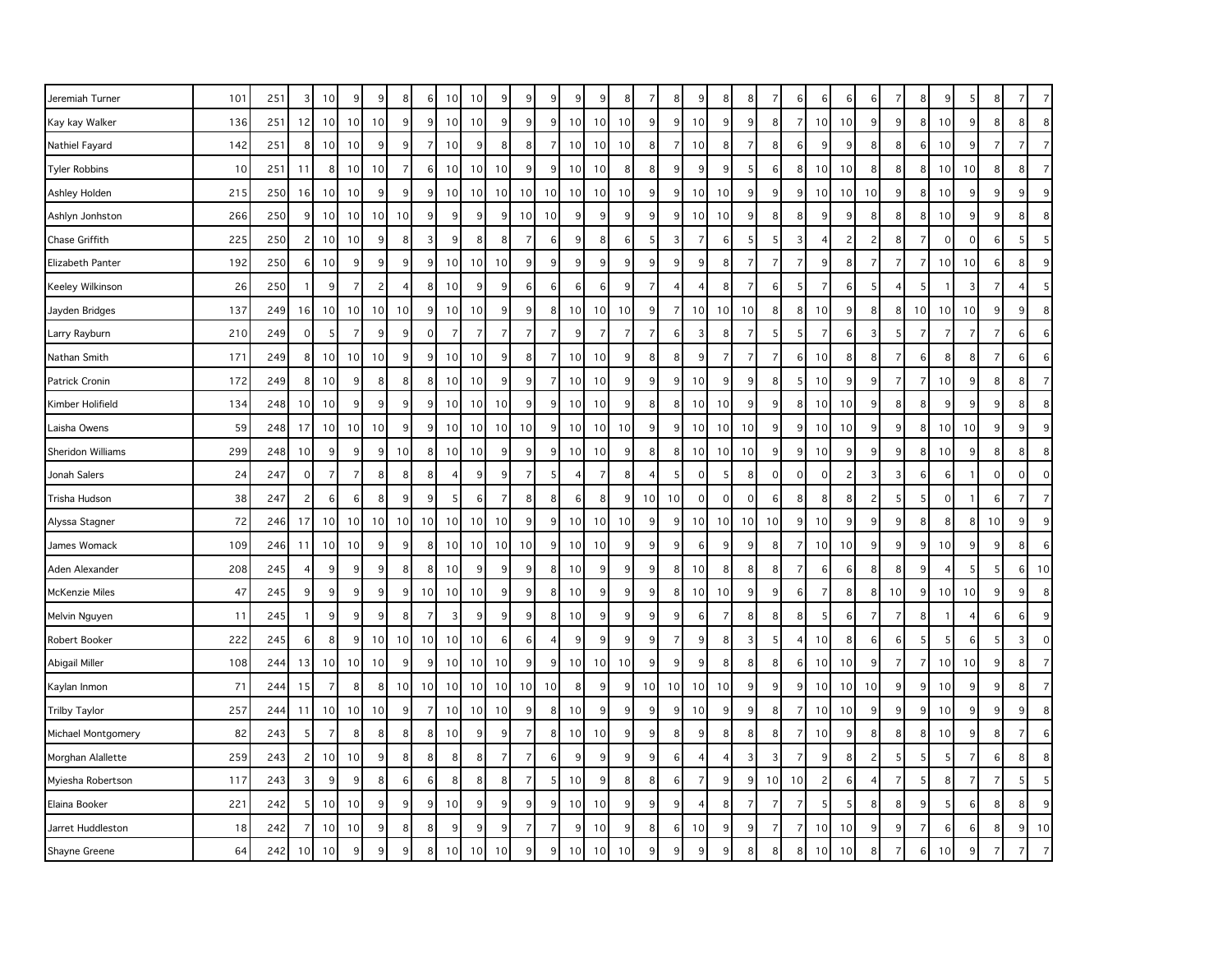| Jeremiah Turner      | 101 | 251 | 3              | 10 <sup>1</sup> | 9              | 9  | 8               | 6              | 10 | 10             | 9              | 9              | 9              | 9              | 9              | 8               | 7              | 8              | 9                        | 8              | 8               | -7             | 6              | 6              | 6              | 6              |                | 8                | 9               | $\mathbf{b}$   | 8              | 7              | $\overline{7}$ |
|----------------------|-----|-----|----------------|-----------------|----------------|----|-----------------|----------------|----|----------------|----------------|----------------|----------------|----------------|----------------|-----------------|----------------|----------------|--------------------------|----------------|-----------------|----------------|----------------|----------------|----------------|----------------|----------------|------------------|-----------------|----------------|----------------|----------------|----------------|
| Kay kay Walker       | 136 | 251 | 12             | 10 <sup>1</sup> | 10             | 10 | 9 <sup>1</sup>  | 9              | 10 | 10             | 9              | 9              | 9              | 10             | 10             | 10              | 9              | 9 <sub>l</sub> | 10                       | 9              | 9               | 8              | $\overline{7}$ | 10             | 10             | 9              | 9              | 8                | 10              | 9              | 8              | 8              | 8              |
| Nathiel Fayard       | 142 | 251 | 8              | 10 <sup>1</sup> | 10             | 9  | 9 <sub>o</sub>  | $\overline{7}$ | 10 | 9              | 8              | 8              | 7              | 10             | 10             | 10              | 8              | 7              | 10                       | 8              | $\overline{7}$  | 8              | $6 \mid$       | 9              | 9              | 8              | 8              | $6 \overline{6}$ | 10              | 9              | $\overline{7}$ | 7              | $\overline{7}$ |
| <b>Tyler Robbins</b> | 10  | 251 | 11             | 8               | 10             | 10 | $\overline{7}$  | 6              | 10 | 10             | 10             | 9              | q              | 10             | 10             | 8               | 8              | 9              | 9                        | 9              | $\overline{5}$  | 6              | 8              | 10             | 10             | 8              | 8              | 8                | 10              | 10             | 8              | 8              | $\overline{7}$ |
| Ashley Holden        | 215 | 250 | 16             | 10 <sup>1</sup> | 10             | 9  | 9               | 9              | 10 | 10             | 10             | 10             | 10             | 10             | 10             | 10              | 9              | 9              | 10                       | 10             | 9               | 9              | 9 <sup>1</sup> | 10             | 10             | 10             | 9              | 8                | 10              | 9              | 9              | 9              | 9              |
| Ashlyn Jonhston      | 266 | 250 | 9              | 10 <sup>1</sup> | 10             | 10 | 10              | 9              | 9  | 9              | 9              | 10             | 10             | 9              | 9              | 9               | 9              | 9              | 10                       | 10             | 9               | 8              | 8 <sup>1</sup> | 9              | 9              | 8              | 8              | 8                | 10              | 9              | 9              | 8              | 8              |
| Chase Griffith       | 225 | 250 | $\overline{c}$ | 10 <sup>1</sup> | 10             | 9  | 8               | $\overline{3}$ | 9  | 8              | 8              | 7              | 6              | 9              | 8              | 6               | 5              | 3              | 7                        | 6              | 5 <sub>5</sub>  | 5              | 3              | 4              | $\overline{c}$ | 2              | 8              | $\overline{7}$   | $\mathbf 0$     | $\mathbf 0$    | 6              | 5 <sub>l</sub> | 5              |
| Elizabeth Panter     | 192 | 250 | 6              | 10              | 9              | 9  | 9               | 9              | 10 | 10             | 10             | 9              | 9              | 9              | 9              | 9               | 9              | 9              | 9                        | 8              | $\overline{7}$  | $\overline{7}$ | $\overline{7}$ | 9              | 8              | $\overline{7}$ |                | $\overline{7}$   | 10              | 10             | 6              | 8              | 9              |
| Keeley Wilkinson     | 26  | 250 | $\mathbf{1}$   | 9               | 7              | 2  | 4               | 8              | 10 | 9              | 9              | 6              | 6              | 6              | 6              | 9               | $\overline{7}$ | 4              | $\overline{4}$           | 8              | $\overline{7}$  | 6              | 5 <sup>1</sup> | 7              | 6              | 5              | 4              | 5                | -1              | 3              | 7              | 4              | 5              |
| Jayden Bridges       | 137 | 249 | 16             | 10 <sup>1</sup> | 10             | 10 | 10              | 9              | 10 | 10             | 9              | 9              | 8              | 10             | 10             | 10              | 9              | $\overline{7}$ | 10                       | 10             | 10              | 8              | 8 <sup>1</sup> | 10             | 9              | 8              | 8              | 10 <sup>1</sup>  | 10              | 10             | 9              | 9              | 8              |
| Larry Rayburn        | 210 | 249 | $\mathbf 0$    | 5 <sub>l</sub>  | $\overline{7}$ | 9  | 9               | $\mathbf 0$    | 7  | $\overline{7}$ | $\overline{7}$ | $\overline{7}$ | 7              | 9              | 7              | $\overline{7}$  | $\overline{7}$ | 6              | 3                        | 8              | $\overline{7}$  | 5              | 5              | 7              | 6              | 3              | 5              | $\overline{7}$   | 7               | -7             | $\overline{7}$ | 6              | 6              |
| Nathan Smith         | 171 | 249 | 8              | 10 <sup>1</sup> | 10             | 10 | 9               | 9              | 10 | 10             | 9              | 8              |                | 10             | 10             | 9               | 8              | 8              | 9                        | $\overline{7}$ | $\overline{7}$  | $\overline{7}$ | 6              | 10             | 8              | 8              |                | 6                | 8               | 8              | $\overline{7}$ | 6              | 6              |
| Patrick Cronin       | 172 | 249 | 8              | 10 <sup>1</sup> | 9              | 8  | 8               | 8              | 10 | 10             | $\overline{9}$ | 9              | -7             | 10             | 10             | 9               | 9              | 9              | 10                       | 9              | $\overline{9}$  | 8              | 5 <sup>1</sup> | 10             | 9              | 9              | 7              | $\overline{7}$   | 10              | 9              | 8              | 8              | $\overline{7}$ |
| Kimber Holifield     | 134 | 248 | 10             | 10 <sup>1</sup> | 9              | 9  | 9               | 9              | 10 | 10             | 10             | 9              | 9              | 10             | 10             | $\overline{9}$  | 8              | 8              | 10                       | 10             | 9               | 9              | 8 <sup>1</sup> | 10             | 10             | 9              | 8              | 8                | 9               | 9              | 9              | 8              | 8              |
| Laisha Owens         | 59  | 248 | 17             | 10 <sup>1</sup> | 10             | 10 | 9               | 9              | 10 | 10             | 10             | 10             | 9              | 10             | 10             | 10 <sup>1</sup> | 9              | 9              | 10                       | 10             | 10 <sup>1</sup> | 9              | 9 <sup>1</sup> | 10             | 10             | 9              | 9              | 8                | 10              | 10             | 9              | 9              | 9              |
| Sheridon Williams    | 299 | 248 | 10             | 9               | 9              | 9  | 10              | 8              | 10 | 10             | $9\,$          | 9              | 9              | 10             | 10             | 9               | 8              | 8              | 10                       | 10             | 10 <sup>1</sup> | 9              | 9              | 10             | 9              | 9              | 9              | 8                | 10              | 9              | 8              | 8              | 8              |
| Jonah Salers         | 24  | 247 | $\mathbf 0$    | $\overline{7}$  | $\overline{7}$ | 8  | 8               | 8              | 4  | 9              | 9              | $\overline{7}$ | 5              | $\overline{4}$ | $\overline{7}$ | 8               | $\overline{4}$ | 5              | $\mathbf 0$              | 5              | 8               | $\mathbf 0$    | $\circ$        | $\mathbf 0$    | $\overline{c}$ | 3              | 3              | 6                | 6               |                | $\mathbf 0$    | $\overline{0}$ | $\mathbf 0$    |
| Trisha Hudson        | 38  | 247 | $\overline{c}$ | 6               | 6              | 8  | 9               | 9              | 5  | 6              | $\overline{7}$ | 8              | 8              | 6              | 8              | $\overline{9}$  | 10             | 10             | $\mathbf 0$              | $\mathbf 0$    | $\overline{0}$  | 6              | 8              | 8              | 8              | $\overline{c}$ | -5             | 5                | $\mathbf 0$     |                | 6              | $\overline{7}$ | $\overline{7}$ |
| Alyssa Stagner       | 72  | 246 | 17             | 10 <sup>1</sup> | 10             | 10 | 10 <sup>1</sup> | 10             | 10 | 10             | 10             | 9              | 9              | 10             | 10             | 10              | 9              | 9              | 10                       | 10             | 10 <sup>1</sup> | 10             | 9              | 10             | 9              | 9              | 9              | 8                | 8               | 8              | 10             | 9              | 9              |
| James Womack         | 109 | 246 | 11             | 10 <sup>1</sup> | 10             | 9  | 9               | 8              | 10 | 10             | 10             | 10             | 9              | 10             | 10             | 9               | 9              | 9              | 6                        | 9              | 9               | 8              | $\overline{7}$ | 10             | 10             | 9              | 9              | 9                | 10              | 9              | $9$            | 8              | 6              |
| Aden Alexander       | 208 | 245 | $\overline{4}$ | 9               | 9              | 9  | 8               | 8              | 10 | 9              | 9              | 9              | 8              | 10             | 9              | 9               | 9              | 8              | 10                       | 8              | 8               | 8              | $\overline{7}$ | 6              | 6              | 8              | 8              | 9                | $\overline{4}$  | 5              | 5              | $6 \mid$       | 10             |
| McKenzie Miles       | 47  | 245 | 9              | 9               | 9              | 9  | 9 <sub>o</sub>  | 10             | 10 | 10             | $9\,$          | 9              | 8              | 10             | 9              | $\overline{9}$  | $9\,$          | 8 <sup>1</sup> | 10                       | 10             | 9               | 9              | $6 \mid$       | 7              | 8              | 8 <sup>1</sup> | 10             | 9                | 10              | 10             | 9              | 9              | 8              |
| Melvin Nguyen        | 11  | 245 | $\mathbf{1}$   | 9               | 9              | 9  | 8               | $\overline{7}$ | 3  | 9              | 9              | 9              | 8              | 10             | 9              | 9               | 9              | 9              | 6                        | $\overline{7}$ | 8               | 8              | 8 <sup>1</sup> | 5              | 6              | $\overline{7}$ | $\overline{7}$ | 8                |                 |                | 6              | $6 \mid$       | 9              |
| Robert Booker        | 222 | 245 | 6              | 8               | 9              | 10 | 10 <sup>1</sup> | 10             | 10 | 10             | $\,6\,$        | 6              | $\overline{4}$ | 9              | 9              | $\overline{9}$  | 9              | $\overline{7}$ | 9                        | 8              | $\mathbf{3}$    | 5              | $\overline{4}$ | 10             | 8              | 6              | 6              | 5                | 5               | 6              | 5              | 3              | $\mathbf 0$    |
| Abigail Miller       | 108 | 244 | 13             | 10 <sup>1</sup> | 10             | 10 | 9               | 9              | 10 | 10             | 10             | $\overline{9}$ | 9              | 10             | 10             | 10              | 9              | 9              | 9                        | 8              | 8               | 8              | $6 \mid$       | 10             | 10             | 9              | 7              | $\overline{7}$   | 10 <sup>1</sup> | 10             | 9              | 8              | $\overline{7}$ |
| Kaylan Inmon         | 71  | 244 | 15             | $\overline{7}$  | 8              | 8  | 10 <sup>1</sup> | 10             | 10 | 10             | 10             | 10             | 10             | 8              | 9              | 9               | 10             | 10             | 10                       | 10             | 9               | 9              | 9 <sup>1</sup> | 10             | 10             | 10             | 9              | 9                | 10              | 9              | 9              | 8              | $\overline{7}$ |
| <b>Trilby Taylor</b> | 257 | 244 | 11             | 10 <sup>1</sup> | 10             | 10 | 9               | $\overline{7}$ | 10 | 10             | 10             | 9              | 8              | 10             | 9              | 9               | 9              | 9              | 10                       | 9              | 9               | 8              | $\overline{7}$ | 10             | 10             | 9              | 9              | 9                | 10              | 9              | 9              | 9              | 8              |
| Michael Montgomery   | 82  | 243 | 5              | $\overline{7}$  | 8              | 8  | 8 <sup>1</sup>  | 8              | 10 | 9              | $9\,$          | $\overline{7}$ | 8              | 10             | 10             | $\overline{9}$  | 9              | 8 <sup>1</sup> | 9                        | 8              | 8               | 8              | 7              | 10             | 9              | 8              | 8              | 8                | 10              | 9              | 8              | 7              | 6              |
| Morghan Alallette    | 259 | 243 | $\overline{c}$ | 10 <sup>1</sup> | 10             | 9  | 8 <sup>1</sup>  | 8              | 8  | 8              | $\overline{7}$ | $\overline{7}$ | 6              | 9              | 9              | 9               | 9              | $6 \mid$       | $\overline{4}$           | $\overline{4}$ | $\overline{3}$  | 3              | $\overline{7}$ | 9              | 8              | $\overline{c}$ |                | 5                | 5               | $\overline{7}$ | 6              | 8              | 8              |
| Myiesha Robertson    | 117 | 243 | 3              | 9               | 9              | 8  | 6               | 6              | 8  | 8              | 8              | $\overline{7}$ | 5              | 10             | 9              | 8               | 8              | $6 \mid$       | $\overline{7}$           | 9              | 9 <sub>o</sub>  | 10             | 10             | $\overline{c}$ | 6              | 4              | 7              | 5                | 8               | 7              | $\overline{7}$ | 5 <sub>l</sub> | 5              |
| Elaina Booker        | 221 | 242 | 5              | 10 <sup>1</sup> | 10             | 9  | 9               | 9              | 10 | 9              | 9              | 9              | 9              | 10             | 10             | 9               | 9              | 9              | $\overline{\mathcal{L}}$ | 8              | $\overline{7}$  | $\overline{7}$ | $\overline{7}$ |                | 5              | 8              | 8              | 9                | 5               | 6              | 8              | 8              | 9              |
| Jarret Huddleston    | 18  | 242 | 7              | 10 <sup>1</sup> | 10             | 9  | 8 <sup>1</sup>  | 8              | 9  | 9              | 9              | $\overline{7}$ | 7              | 9              | 10             | 9               | 8              | 6              | 10                       | 9              | 9 <sub>o</sub>  | $\overline{7}$ | 7              | 10             | 10             | 9              | 9              | $\overline{7}$   | 6               | 6              | 8              | 9 <sub>l</sub> | 10             |
| Shayne Greene        | 64  | 242 | 10             | 10              | 9              | 9  | 9               | 8              | 10 | 10             | 10             | 9              | 9              | 10             | 10             | 10              | 9              |                | 9                        |                | 8               | 8              | 8              | 10             | 10             | 8              |                | 6                | 10              |                |                |                | $\overline{7}$ |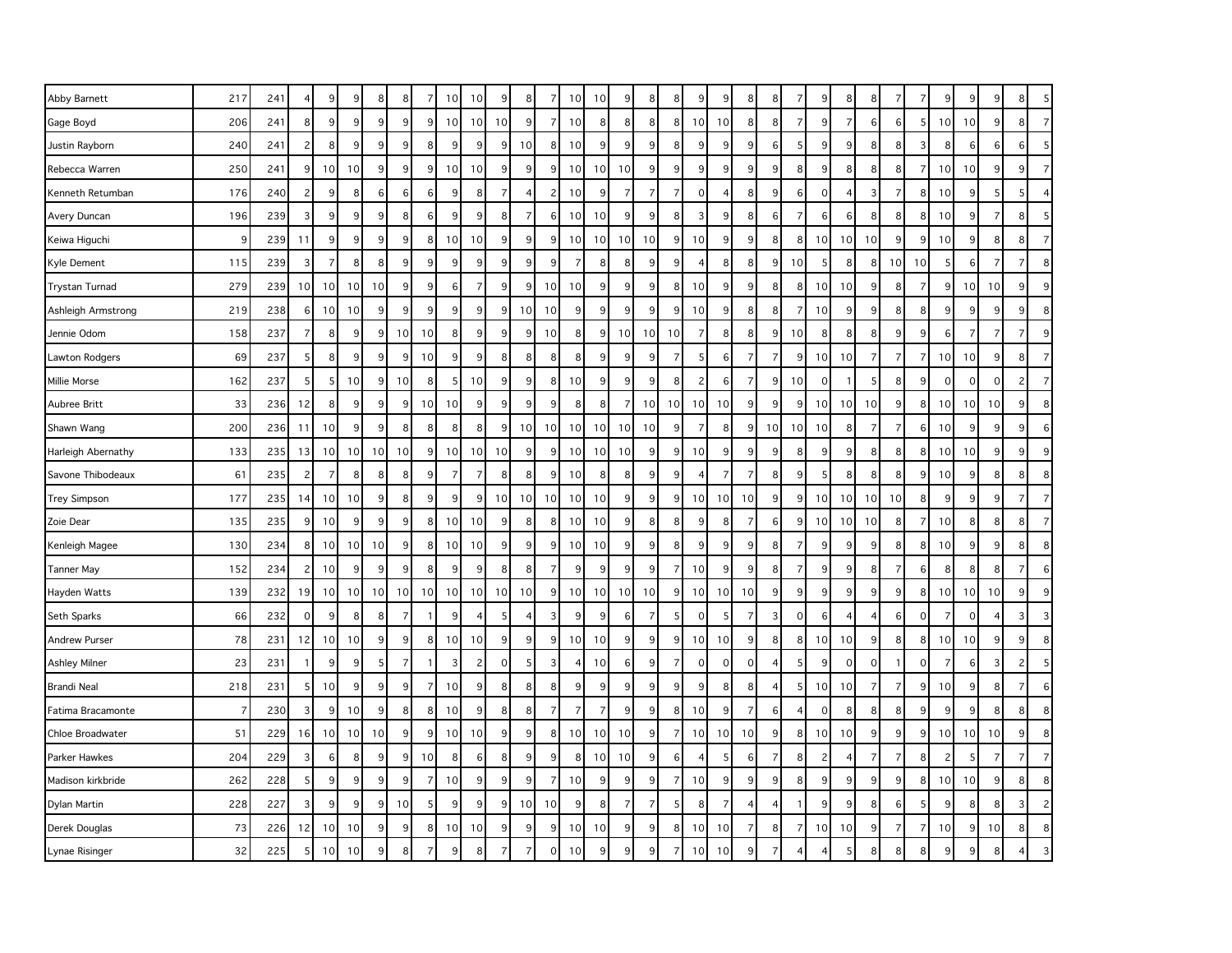| Abby Barnett         | 217 | 241 | $\overline{4}$ | 9               | 9               | 8  | 8               | -7             | 10 | 10              | 9              | 8               |                | 10             | 10             | 9                | 8              | 8              | 9                        | 9                | 8              | 8              | 7              | 9               | 8              | 8              |                | 7              | 9               |             | 9              | 8 <sup>2</sup> | 5                |
|----------------------|-----|-----|----------------|-----------------|-----------------|----|-----------------|----------------|----|-----------------|----------------|-----------------|----------------|----------------|----------------|------------------|----------------|----------------|--------------------------|------------------|----------------|----------------|----------------|-----------------|----------------|----------------|----------------|----------------|-----------------|-------------|----------------|----------------|------------------|
| Gage Boyd            | 206 | 241 | 8              | 9               | 9               | 9  | $\overline{9}$  | 9              | 10 | 10              | 10             | $\overline{9}$  | $\overline{7}$ | 10             | 8 <sup>1</sup> | 8 <sup>1</sup>   | 8              | 8 <sup>1</sup> | 10                       | 10               | 8              | 8              | $\overline{7}$ | $\overline{9}$  | $\overline{7}$ | 6              | $6 \mid$       | 5              | 10              | 10          | 9              | 8 <sup>1</sup> | $\overline{7}$   |
| Justin Rayborn       | 240 | 241 | $\overline{c}$ | 8               | 9               | 9  | 9 <sub>o</sub>  | 8              | 9  | 9               | 9              | 10              | 8              | 10             | 9              | 9                | 9              | 8              | 9                        | $\boldsymbol{9}$ | 9              | 6              | 5              | 9 <sub>o</sub>  | 9              | 8              | 8 <sup>1</sup> | 3              | 8               | 6           | $\,6$          | $6 \mid$       | 5                |
| Rebecca Warren       | 250 | 241 | 9              | 10              | 10              | 9  | 9               | 9              | 10 | 10              | 9              | 9               | q              | 10             | 10             | 10               | 9              | 9              | 9                        | 9                | 9              | 9              | 8              | 9               | 8              | 8              | 8              | $\overline{7}$ | 10 <sup>1</sup> | 10          | 9              | 9              | $\overline{7}$   |
| Kenneth Retumban     | 176 | 240 | $\overline{c}$ | 9               | 8               | 6  | $6 \mid$        | 6              | 9  | 8               | 7              | 4               | 2              | 10             | 9              | 7                | 7              | 7              | $\overline{0}$           | $\overline{4}$   | 8              | 9              | 6              | $\overline{0}$  | $\overline{4}$ | 3              | 7              | 8              | 10              | 9           | 5              | 5              | $\overline{4}$   |
| Avery Duncan         | 196 | 239 | 3              | 9               | 9               | 9  | 8 <sup>1</sup>  | 6              | 9  | 9               | 8              | $\overline{7}$  | 6              | 10             | 10             | $\overline{9}$   | 9              | 8              | 3                        | 9                | 8              | 6              | $\overline{7}$ | $6 \mid$        | 6              | 8              | 8              | 8              | 10              | 9           | $\overline{7}$ | 8 <sup>1</sup> | 5 <sup>1</sup>   |
| Keiwa Higuchi        | 9   | 239 | 11             | 9               | 9               | 9  | 9               | 8              | 10 | 10              | $9\,$          | 9               | 9              | 10             | 10             | 10               | 10             | 9              | 10                       | $\boldsymbol{9}$ | 9              | 8              | 8              | 10 <sup>1</sup> | 10             | 10             | 9 <sub>o</sub> | 9              | 10              | 9           | 8              | 8              | $\overline{7}$   |
| Kyle Dement          | 115 | 239 | 3              | $\overline{7}$  | 8               | 8  | 9               | 9              | 9  | 9               | 9              | 9               | 9              | $\overline{7}$ | 8              | 8                | 9              | 9              | $\overline{\phantom{a}}$ | 8                | 8              | 9 <sub>0</sub> | 10             | 5 <sup>1</sup>  | 8              | 8              | 10             | 10             | 5               | 6           | $\overline{7}$ | $\overline{7}$ | 8                |
| Trystan Turnad       | 279 | 239 | 10             | 10              | 10              | 10 | 9 <sup>1</sup>  | 9              | 6  | 7               | 9              | 9               | 10             | 10             | 9              | 9                | 9              | 8              | 10                       | 9                | 9              | 8              | 8              | 10 <sup>1</sup> | 10             | 9              | 8 <sup>1</sup> | $\overline{7}$ | 9               | 10          | 10             | 9              | 9                |
| Ashleigh Armstrong   | 219 | 238 | 6              | 10 <sup>1</sup> | 10              | 9  | 9 <sup>1</sup>  | 9              | 9  | 9               | 9              | 10 <sup>1</sup> | 10             | 9              | 9              | 9                | 9              | 9              | 10                       | 9                | 8              | 8              | 7              | 10              | 9              | 9              | 8              | 8              | 9               | 9           | 9              | 9              | 8                |
| Jennie Odom          | 158 | 237 | $\overline{7}$ | 8               | 9               | 9  | 10 <sup>1</sup> | 10             | 8  | 9               | 9              | 9               | 10             | 8              | 9              | 10               | 10             | 10             | 7                        | 8                | 8              | 9              | 10             | 8 <sup>1</sup>  | 8              | 8              | 9              | 9              | 6               | -7          | $\overline{7}$ | $\overline{7}$ | 9                |
| Lawton Rodgers       | 69  | 237 | 5              | 8               | 9               | 9  | 9               | 10             | 9  | 9               | 8              | 8               | 8              | 8              | 9              | 9                | 9              | $\overline{7}$ | 5                        | 6                | $\overline{7}$ | $\overline{7}$ | 9              | 10 <sup>1</sup> | 10             | $\overline{7}$ | $\overline{7}$ | $\overline{7}$ | 10 <sup>1</sup> | 10          | 9              | 8              | $\overline{7}$   |
| Millie Morse         | 162 | 237 | 5              | 5 <sub>5</sub>  | 10              | 9  | 10 <sup>1</sup> | 8              | 5  | 10              | 9              | 9               | 8              | 10             | 9              | $\overline{9}$   | 9              | 8              | $\overline{c}$           | 6                | $\overline{7}$ | 9              | 10             | $\overline{0}$  | $\overline{1}$ | 5              | 8 <sup>1</sup> | 9              | $\mathbf 0$     | $\Omega$    | $\mathbf 0$    | 2              | $\overline{7}$   |
| Aubree Britt         | 33  | 236 | 12             | 8               | 9               | 9  | 9               | 10             | 10 | 9               | 9              | 9               | 9              | 8              | 8              |                  | 10             | 10             | 10                       | 10               | 9              | 9              | 9              | 10 <sup>1</sup> | 10             | 10             | 9              | 8              | 10              | 10          | 10             | 9              | 8                |
| Shawn Wang           | 200 | 236 | 11             | 10              | 9               | 9  | 8 <sup>1</sup>  | 8              | 8  | 8               | 9              | 10 <sup>1</sup> | 10             | 10             | 10             | 10 <sup>1</sup>  | 10             | 9              | $\overline{7}$           | 8                | $\overline{9}$ | 10             | 10             | 10              | 8              | $\overline{7}$ | $\overline{7}$ | 6              | 10              | 9           | 9              | 9              | 6                |
| Harleigh Abernathy   | 133 | 235 | 13             | 10 <sup>1</sup> | 10 <sup>1</sup> | 10 | 10 <sup>1</sup> | 9              | 10 | 10 <sup>1</sup> | 10             | 9               | 9              | 10             | 10             | 10               | 9              | 9              | 10                       | 9                | 9              | 9              | 8              | 9               | 9              | 8              | 8              | 8              | 10              | 10          | 9              | 9              | $\overline{9}$   |
| Savone Thibodeaux    | 61  | 235 | $\overline{c}$ | $\overline{7}$  | 8               | 8  | 8 <sup>1</sup>  | 9              | 7  | 7               | 8              | 8               | q              | 10             | 8              | 8                | 9              | 9              | $\overline{4}$           | $\overline{7}$   | 7              | 8              | 9              | $\overline{5}$  | 8              | 8              | 8              | 9              | 10              | 9           | 8              | 8 <sup>2</sup> | 8                |
| <b>Trey Simpson</b>  | 177 | 235 | 14             | 10 <sup>1</sup> | 10              | 9  | 8 <sup>1</sup>  | 9              | 9  | 9               | 10             | 10              | 10             | 10             | 10             | 9                | 9              | 9              | 10                       | 10               | 10             | 9              | 9              | 10 <sup>1</sup> | 10             | 10             | 10             | 8              | 9               | 9           | 9              | $\overline{7}$ | $\overline{7}$   |
| Zoie Dear            | 135 | 235 | 9              | 10 <sup>1</sup> | 9               | 9  | $\overline{9}$  | 8              | 10 | 10              | 9              | 8               | 8              | 10             | 10             | 9                | 8              | 8              | 9                        | 8                | 7              | 6              | 9              | 10              | 10             | 10             | 8              | $\overline{7}$ | 10              | 8           | 8              | 8 <sup>°</sup> | $\overline{7}$   |
| Kenleigh Magee       | 130 | 234 | 8              | 10              | 10 <sup>1</sup> | 10 | 9               | 8              | 10 | 10              | 9              | 9               | 9              | 10             | 10             | 9                | 9              | 8              | 9                        | 9                | 9              | 8              | $\overline{7}$ | 9               | 9              | 9              | 8              | 8              | 10              | 9           | 9              | 8              | 8                |
| <b>Tanner May</b>    | 152 | 234 | $\overline{c}$ | 10              | 9               | 9  | 9               | 8              | 9  | 9               | 8              | 8               | 7              | 9              | 9              | 9                | 9              | $\overline{7}$ | 10                       | 9                | 9              | 8              | $\overline{7}$ | 9               | 9              | 8              | $\overline{7}$ | 6              | 8               | 8           | 8              | $\overline{7}$ | 6                |
| Hayden Watts         | 139 | 232 | 19             | 10              | 10 <sup>1</sup> | 10 | 10 <sup>1</sup> | 10             | 10 | 10              | 10             | 10              | 9              | 10             | 10             | 10               | 10             | 9              | 10                       | 10               | 10             | 9              | 9              | 9               | 9              | 9              | 9              | 8              | 10              | 10          | 10             | 9              | 9                |
| Seth Sparks          | 66  | 232 | $\mathbf 0$    | 9               | 8               | 8  | $\overline{7}$  | $\overline{1}$ | 9  | 4               | 5              | 4               | 3              | 9              | 9              | 6                | $\overline{7}$ | 5              | $\overline{0}$           | 5                | $\overline{7}$ | 3              | 0              | $6 \mid$        | $\overline{4}$ | 4              | 6              | $\mathbf 0$    | $\overline{7}$  | $\mathbf 0$ | $\overline{4}$ | $\overline{3}$ | 3                |
| <b>Andrew Purser</b> | 78  | 231 | 12             | 10              | 10              | 9  | 9               | 8              | 10 | 10              | 9              | 9               | 9              | 10             | 10             | 9                | 9              | 9              | 10                       | 10               | 9              | 8              | 8              | 10 <sup>1</sup> | 10             | 9              | 8              | 8              | 10 <sup>1</sup> | 10          | 9              | 9 <sup>°</sup> | 8                |
| Ashley Milner        | 23  | 231 | $\overline{1}$ | 9               | 9               | 5  | $\overline{7}$  | $\overline{1}$ | 3  | 2               | $\mathbf 0$    | 5               | 3              | $\overline{4}$ | 10             | $6 \overline{6}$ | 9              | 7              | $\mathbf 0$              | $\mathbf 0$      | $\mathbf{0}$   |                | 5              | 9               | $\mathbf 0$    | $\mathbf 0$    |                | $\mathbf 0$    | $\overline{7}$  | 6           | 3              | $\mathbf{2}$   | 5                |
| <b>Brandi Neal</b>   | 218 | 231 | 5              | 10              | 9               | 9  | $\overline{9}$  | $\overline{7}$ | 10 | 9               | 8              | 8               | 8              | 9              | 9              | $\overline{9}$   | 9              | 9              | 9                        | 8                | 8              |                | 5              | 10 <sup>1</sup> | 10             | $\overline{7}$ | $\overline{7}$ | 9              | 10              | 9           | 8              | $\overline{7}$ | $6 \overline{6}$ |
| Fatima Bracamonte    | 7   | 230 | 3              | 9               | 10              | 9  | 8 <sup>1</sup>  | 8              | 10 | 9               | 8              | 8               | 7              | $\overline{7}$ | $\overline{7}$ | 9                | 9              | 8              | 10                       | 9                | $\overline{7}$ | 6              | $\overline{4}$ | $\overline{0}$  | 8              | 8              | 8              | 9              | 9               | q           | 8              | 8 <sup>1</sup> | 8                |
| Chloe Broadwater     | 51  | 229 | 16             | 10              | 10              | 10 | 9               | 9              | 10 | 10              | 9              | 9               | 8              | 10             | 10             | 10               | $9\,$          | $\overline{7}$ | 10                       | 10               | 10             | 9              | 8              | 10 <sup>1</sup> | 10             | 9              | 9              | 9              | 10 <sup>1</sup> | 10          | 10             | 9              | 8                |
| Parker Hawkes        | 204 | 229 | 3              | 6               | 8               | 9  | 9               | 10             | 8  | 6               | 8              | 9               | q              | 8              | 10             | 10               | 9              | 6              | $\overline{4}$           | 5                | 6              | 7              | 8              | $\overline{2}$  | $\overline{4}$ | $\overline{7}$ | $\overline{7}$ | 8              | 2               |             | $\overline{7}$ | $\overline{7}$ | $\overline{7}$   |
| Madison kirkbride    | 262 | 228 | 5              | 9               | 9               | 9  | 9               | $\overline{7}$ | 10 | 9               | 9              | 9               | 7              | 10             | 9              | $\overline{9}$   | 9              | 7              | 10                       | 9                | 9              | 9              | 8              | 9               | 9              | 9              | 9              | 8              | 10              | 10          | 9              | 8 <sup>1</sup> | 8                |
| Dylan Martin         | 228 | 227 | 3              | 9               | 9               | 9  | 10              | 5              | 9  | 9               | 9              | 10 <sup>1</sup> | 10             | 9              | 8              | $\overline{7}$   | $\overline{7}$ | 5              | 8                        | $\overline{7}$   | $\overline{4}$ | 4              |                | 9               | 9              | 8              | 6              | 5              | 9               | 8           | 8              | 3              | $\mathbf{2}$     |
| Derek Douglas        | 73  | 226 | 12             | 10 <sup>1</sup> | 10              | 9  | 9 <sup>1</sup>  | 8              | 10 | 10              | 9              | 9               | 9              | 10             | 10             | 9                | 9              | 8              | 10                       | 10               | $\overline{7}$ | 8              | $\overline{7}$ | 10 <sup>1</sup> | 10             | 9              |                | $\overline{7}$ | 10              | 9           | 10             | 8              | 8                |
| Lynae Risinger       | 32  | 225 | 5              | 10              | 10              | 9  | 8 <sup>1</sup>  | $\overline{7}$ | 9  | 8               | $\overline{7}$ | $\overline{7}$  | $\Omega$       | 10             | 9              | 9                | 9              | 7              | 10                       | 10               | 9              |                |                |                 | 5              | 8              | 8              | 8              | 9               |             | 8              |                | 3                |
|                      |     |     |                |                 |                 |    |                 |                |    |                 |                |                 |                |                |                |                  |                |                |                          |                  |                |                |                |                 |                |                |                |                |                 |             |                |                |                  |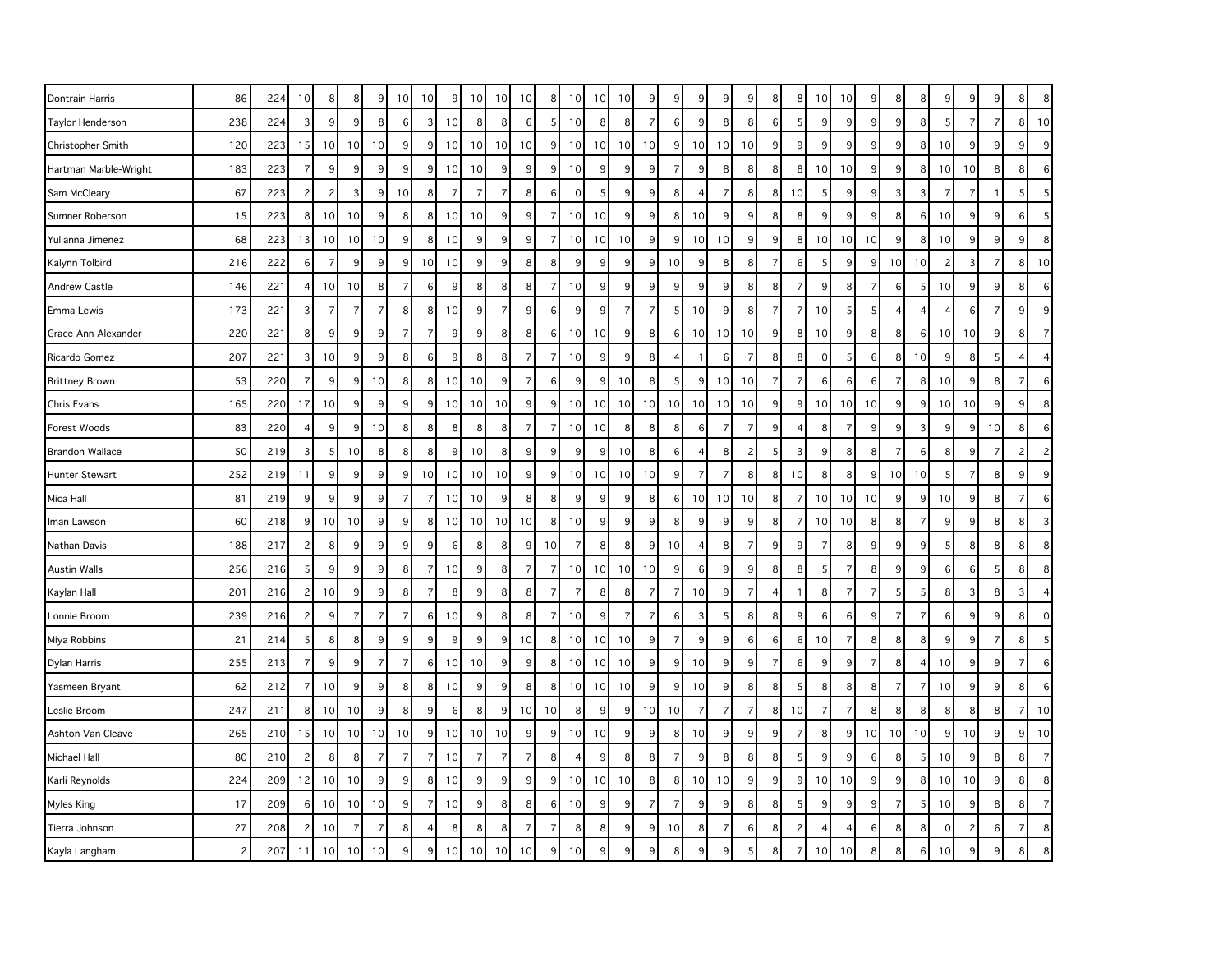| Dontrain Harris         | 86  | 224 | 10             | 8               | 8               | 9              | 10 <sup>1</sup> | 10             | 9  | 10 <sup>1</sup> | 10             | 10             | 8              | 10             | 10             | 10              | 9              | 9              | 9              | 9                | 9              | 8              | 8              | 10 <sup>1</sup> | 10             | 9              | 8               | 8              | 9               |                | 9              | 8              | 8                |
|-------------------------|-----|-----|----------------|-----------------|-----------------|----------------|-----------------|----------------|----|-----------------|----------------|----------------|----------------|----------------|----------------|-----------------|----------------|----------------|----------------|------------------|----------------|----------------|----------------|-----------------|----------------|----------------|-----------------|----------------|-----------------|----------------|----------------|----------------|------------------|
| <b>Taylor Henderson</b> | 238 | 224 | 3              | 9               | 9               | 8              | $6 \mid$        | 3              | 10 | 8               | 8              | 6              |                | 10             | 8              | 8               | $\overline{7}$ | 6              | 9              | 8                | 8              | 6              | 5              | 9               | 9              | 9              | 9               | 8              | 5               |                | $\overline{7}$ | 8 <sup>1</sup> | 10               |
| Christopher Smith       | 120 | 223 | 15             | 10              | 10              | 10             | 9 <sup>1</sup>  | 9              | 10 | 10              | 10             | 10             | 9              | 10             | 10             | 10 <sup>1</sup> | 10             | 9              | 10             | 10               | 10             | 9              | 9              | $\overline{9}$  | 9              | 9              | 9               | 8              | 10              | 9              | 9              | 9              | 9                |
| Hartman Marble-Wright   | 183 | 223 | $\overline{7}$ | 9               | 9               | 9              | 9               | 9              | 10 | 10              | 9              | 9              | 9              | 10             | 9              | 9               | 9              | $\overline{7}$ | g              | 8                | 8              | 8              | 8              | 10 <sup>1</sup> | 10             | 9              | 9               | 8              | 10 <sup>1</sup> | 10             | 8              | 8              | 6                |
| Sam McCleary            | 67  | 223 | $\overline{c}$ | $\mathbf{2}$    | 3               | 9              | 10              | 8              | 7  | 7               | $\overline{7}$ | 8              | 6              | $\mathbf 0$    | 5              | 9               | 9              | 8              | 4              | 7                | 8              | 8              | 10             | $\overline{5}$  | 9              | 9              | 3               | 3              | $\overline{7}$  | 7              | $\mathbf{1}$   | 5              | 5                |
| Sumner Roberson         | 15  | 223 | 8              | 10 <sup>1</sup> | 10              | 9              | 8 <sup>1</sup>  | 8              | 10 | 10              | 9              | 9              | 7              | 10             | 10             | 9               | 9              | 8              | 10             | 9                | 9              | 8              | 8              | 9               | 9              | 9              | 8               | 6              | 10              | 9              | 9              | $6 \mid$       | $5\overline{5}$  |
| Yulianna Jimenez        | 68  | 223 | 13             | 10              | 10              | 10             | 9 <sup>1</sup>  | 8              | 10 | 9               | 9              | 9              | 7              | 10             | 10             | 10              | 9              | 9              | 10             | 10               | 9              | 9              | 8              | 10 <sup>1</sup> | 10             | 10             | 9 <sub>l</sub>  | 8              | 10              | 9              | 9              | 9              | 8                |
| Kalynn Tolbird          | 216 | 222 | 6              | $\overline{7}$  | 9               | 9              | 9               | 10             | 10 | 9               | 9              | 8              | ε              | 9              | 9              | 9               | 9              | 10             | 9              | 8                | 8              | $\overline{7}$ | 6              | 5               | 9              | 9              | 10 <sup>1</sup> | 10             | $\overline{c}$  | Е              | $\overline{7}$ | 8              | 10               |
| <b>Andrew Castle</b>    | 146 | 221 | $\overline{4}$ | 10 <sup>1</sup> | 10              | 8              | $\overline{7}$  | 6              | 9  | 8               | 8              | 8              | 7              | 10             | 9              | 9               | 9              | 9              | 9              | 9                | 8              | 8              | 7              | $\overline{9}$  | 8              | 7              | 6               | -5             | 10              | 9              | 9              | 8              | 6                |
| Emma Lewis              | 173 | 221 | 3              | $\overline{7}$  | $\overline{7}$  |                | 8 <sup>1</sup>  | 8              | 10 | 9               | $\overline{7}$ | 9              |                | 9              | 9              |                 | $\overline{7}$ |                | 10             | 9                | 8              | 7              | $\overline{7}$ | 10              | 5              | 5              |                 |                |                 |                | $\overline{7}$ | 9              | 9                |
| Grace Ann Alexander     | 220 | 221 | 8              | 9               | 9               | 9              | $\overline{7}$  | $\overline{7}$ | 9  | 9               | 8              | 8              | 6              | 10             | 10             | 9               | 8              | 6              | 10             | 10               | 10             | 9              | 8              | 10              | 9              | 8              | 8 <sup>1</sup>  | 6              | 10              | 10             | 9              | 8              | $\overline{7}$   |
| Ricardo Gomez           | 207 | 221 | 3              | 10              | 9               | 9              | 8 <sup>1</sup>  | 6              | 9  | 8               | 8              | $\overline{7}$ | 7              | 10             | 9              | 9               | 8              | $\overline{4}$ | -1             | 6                | 7              | 8              | 8              | $\overline{0}$  | 5              | 6              | 8 <sup>1</sup>  | 10             | 9               | 8              | 5              | 4              | $\overline{4}$   |
| <b>Brittney Brown</b>   | 53  | 220 | 7              | 9               | 9               | 10             | 8 <sup>1</sup>  | 8              | 10 | 10              | 9              | $\overline{7}$ | 6              | 9              | 9              | 10              | 8              | 5              | 9              | 10               | 10             | $\overline{7}$ | $\overline{7}$ | $6 \mid$        | 6              | 6              |                 | 8              | 10 <sup>1</sup> | 9              | 8              | 7              | 6                |
| Chris Evans             | 165 | 220 | 17             | 10 <sup>1</sup> | 9               | 9              | 9               | 9              | 10 | 10 <sup>1</sup> | 10             | 9              | 9              | 10             | 10             | 10 <sup>1</sup> | 10             | 10             | 10             | 10               | 10             | 9              | 9              | 10 <sup>1</sup> | 10             | 10             | 9               | 9              | 10              | 10             | 9              | 9              | 8                |
| Forest Woods            | 83  | 220 | $\overline{4}$ | 9               | 9               | 10             | 8 <sup>1</sup>  | 8              | 8  | 8               | 8              | $\overline{7}$ | 7              | 10             | 10             | 8               | 8              | 8              | 6              | 7                | 7              | 9              | $\overline{4}$ | 8               | $\overline{7}$ | 9              | 9               | 3              | 9               | 9              | 10             | 8 <sup>°</sup> | 6                |
| <b>Brandon Wallace</b>  | 50  | 219 | 3              | 5               | 10              | 8              | 8 <sup>1</sup>  | 8              | 9  | 10              | 8              | 9              | 9              | 9              | 9              | 10              | 8              | 6              | 4              | 8                | $\overline{c}$ | -5             | 3              | $\overline{9}$  | 8              | 8              | 7               | 6              | 8               | 9              | $\overline{7}$ | $\overline{c}$ | $\overline{2}$   |
| Hunter Stewart          | 252 | 219 | 11             | 9               | 9               | 9              | 9 <sup>1</sup>  | 10             | 10 | 10              | 10             | 9 <sub>o</sub> | 9              | 10             | 10             | 10              | 10             | 9              | $\overline{7}$ | $\overline{7}$   | 8              | 8              | 10             | 8 <sup>1</sup>  | 8              | 9              | 10              | 10             | 5               | 7              | 8              | 9              | 9                |
| Mica Hall               | 81  | 219 | 9              | 9               | 9               | 9              | $\overline{7}$  | $\overline{7}$ | 10 | 10              | $9\,$          | 8              | 8              | 9              | 9              | $\overline{9}$  | 8              | $6 \mid$       | 10             | 10               | 10             | 8              | $\overline{7}$ | 10 <sup>1</sup> | 10             | 10             | 9               | 9              | 10              | 9              | 8              | $\overline{7}$ | 6                |
| Iman Lawson             | 60  | 218 | 9              | 10 <sup>1</sup> | 10              | 9              | 9               | 8              | 10 | 10 <sup>1</sup> | 10             | 10             | 8              | 10             | 9              | 9               | 9              | 8              | 9              | 9                | 9              | 8              | 7              | 10              | 10             | 8              | 8               | $\overline{7}$ | 9               | 9              | 8              | 8 <sup>1</sup> | 3                |
| Nathan Davis            | 188 | 217 | $\overline{c}$ | 8               | 9               | 9              | 9 <sup>1</sup>  | 9              | 6  | 8               | 8              | 9              | 10             | $\overline{7}$ | 8              | 8               | 9              | 10             | 4              | 8                | 7              | 9              | 9              | $\overline{7}$  | 8              | 9              | 9               | 9              | 5               | 8              | 8              | 8              | 8                |
| <b>Austin Walls</b>     | 256 | 216 | 5              | 9               | 9               | 9              | 8 <sup>1</sup>  | $\overline{7}$ | 10 | 9               | 8              | $\overline{7}$ | 7              | 10             | 10             | 10              | 10             | 9              | 6              | 9                | 9              | 8              | 8              | 5               | $\overline{7}$ | 8              | 9               | 9              | 6               | 6              | 5              | 8              | 8                |
| Kaylan Hall             | 201 | 216 | $\overline{c}$ | 10              | 9               | 9              | 8 <sup>1</sup>  | $\overline{7}$ | 8  | 9               | 8              | 8              | $\overline{ }$ | $\overline{7}$ | 8 <sup>2</sup> | 8               | 7              | 7              | 10             | $9\,$            | $\overline{7}$ | 4              |                | 8 <sup>1</sup>  | $\overline{7}$ | $\overline{7}$ | 5               | 5              | 8               | 3              | 8              | 3              | $\overline{4}$   |
| Lonnie Broom            | 239 | 216 | $\overline{c}$ | 9               | $\overline{7}$  | $\overline{7}$ | $\overline{7}$  | 6              | 10 | 9               | 8              | 8              | 7              | 10             | 9              | $\overline{7}$  | $\overline{7}$ | 6              | 3              | 5                | 8              | 8              | 9              | $6 \mid$        | 6              | 9              | $\overline{7}$  | $\overline{7}$ | 6               | 9              | 9              | 8 <sup>1</sup> | $\mathbf{0}$     |
| Miya Robbins            | 21  | 214 | 5              | 8               | 8.              | 9              | 9               | 9              | 9  | 9               | 9              | 10             | 8              | 10             | 10             | 10              | 9              | 7              | 9              | 9                | 6              | 6              | 6              | 10 <sup>1</sup> | 7              | 8              | 8               | 8              | 9               | 9              | 7              | 8              | 5                |
| Dylan Harris            | 255 | 213 | $\overline{7}$ | 9               | 9               | $\overline{7}$ | 7               | 6              | 10 | 10              | 9              | 9              | 8              | 10             | 10             | 10              | 9              | 9              | 10             | 9                | 9              | 7              | 6              | 9               | 9              | $\overline{7}$ | 8               | $\overline{4}$ | 10              | q              | 9              | 7              | $6 \overline{6}$ |
| Yasmeen Bryant          | 62  | 212 | $\overline{7}$ | 10              | 9               | 9              | 8 <sup>1</sup>  | 8              | 10 | 9               | 9              | 8              | 8              | 10             | 10             | 10              | 9              | 9              | 10             | $\boldsymbol{9}$ | 8              | 8              | 5              | 8 <sup>1</sup>  | 8              | 8              | $\overline{7}$  | $\overline{7}$ | 10              | 9              | $9\,$          | 8              | 6                |
| Leslie Broom            | 247 | 211 | 8              | 10              | 10              | 9              | 8 <sup>1</sup>  | 9              | 6  | 8               | 9              | 10             | 10             | 8              | 9              | 9               | 10             | 10             | $\overline{7}$ | $\overline{7}$   | $\overline{7}$ | 8              | 10             | $\overline{7}$  | $\overline{7}$ | 8              | 8               | 8              | 8               | 8              | 8              | $\overline{7}$ | 10               |
| Ashton Van Cleave       | 265 | 210 | 15             | 10 <sup>1</sup> | 10 <sup>1</sup> | 10             | 10 <sup>1</sup> | 9              | 10 | 10 <sup>1</sup> | 10             | 9              | 9              | 10             | 10             | 9               | 9              | 8              | 10             | 9                | 9              | 9              | 7              | 8 <sup>1</sup>  | 9              | 10             | 10 <sup>1</sup> | 10             | 9               | 10             | 9              | 9              | 10               |
| Michael Hall            | 80  | 210 | $\overline{c}$ | 8               | 8               | 7              | $\overline{7}$  | $\overline{7}$ | 10 | $\overline{7}$  | $\overline{7}$ | $\overline{7}$ | 8              | $\overline{4}$ | 9              | 8               | 8              | 7              | 9              | 8                | 8              | 8              | 5              | 9               | 9              | 6              | 8               | -5             | 10              | 9              | 8              | 8              | $\overline{7}$   |
| Karli Reynolds          | 224 | 209 | 12             | 10 <sup>1</sup> | 10              | 9              | 9               | 8              | 10 | 9               | $9\,$          | 9              | 9              | 10             | 10             | 10              | 8              | 8              | 10             | 10               | 9              | 9              | 9              | 10 <sup>1</sup> | 10             | 9              | 9 <sub>o</sub>  | 8              | 10              | 10             | 9              | 8 <sup>1</sup> | 8                |
| Myles King              | 17  | 209 | 6              | 10              | 10              | 10             | 9               | $\overline{7}$ | 10 | 9               | 8              | 8              | 6              | 10             | 9              | 9               | $\overline{7}$ | $\overline{7}$ | 9              | 9                | 8              | 8              | 5              | 9               | 9              | 9              | $\overline{7}$  | 5              | 10              | 9              | 8              | 8 <sup>1</sup> | $\overline{7}$   |
| Tierra Johnson          | 27  | 208 | 2              | 10              | 7               | $\overline{7}$ | 8 <sup>1</sup>  | $\overline{4}$ | 8  | 8               | 8              | $\overline{7}$ | 7              | 8              | 8              | $\overline{9}$  | 9              | 10             | 8              | 7                | 6              | 8              | $\overline{c}$ | 4               | $\overline{4}$ | 6              | 8               | 8              | $\mathbf 0$     | $\overline{c}$ | 6              | 7              | 8                |
| Kayla Langham           | 2   | 207 | 11             | 10              | 10              | 10             | 9               | 9              | 10 | 10              | 10             | 10             | 9              | 10             | 9              |                 | 9              | 8              |                | 9                |                | 8              | $\overline{7}$ | 10 <sup>1</sup> | 10             | 8              | 8               | 6              | 10              |                | q              |                |                  |
|                         |     |     |                |                 |                 |                |                 |                |    |                 |                |                |                |                |                |                 |                |                |                |                  |                |                |                |                 |                |                |                 |                |                 |                |                |                |                  |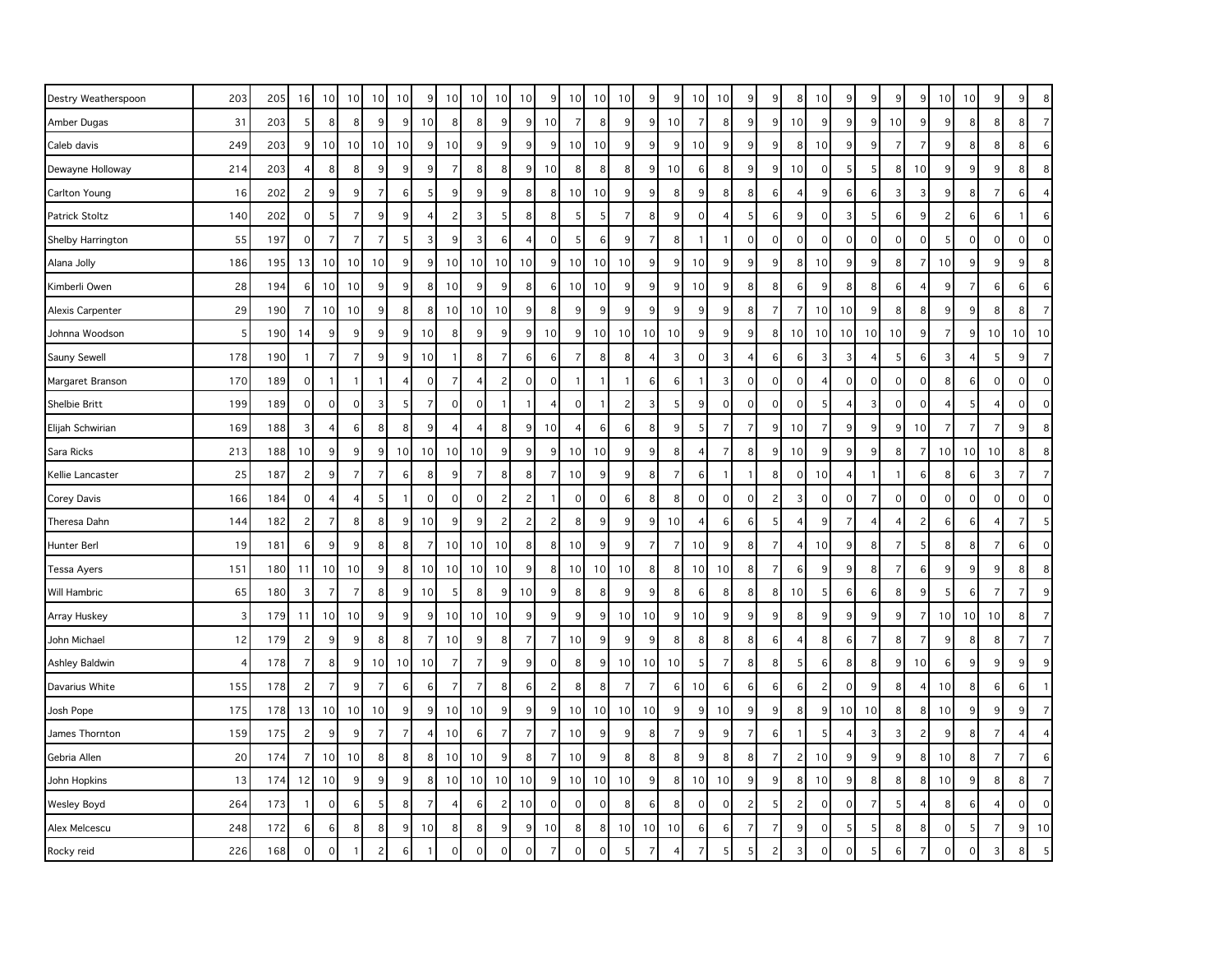| Destry Weatherspoon     | 203 | 205 | 16             | 10             | 10 <sup>1</sup>     | 10             | 10             | 9              | 10             | 10 <sup>1</sup> | 10             | 10 <sup>1</sup> | 9              | 10             | 10           | 10 | 9                     | 9              | 10             | 10               | 9              | 9 <sup>1</sup> | 8              | 10             | 9              | 9                   | 9              | 9               | 10 <sup>°</sup> | 10              | 9               | 9              | 8              |
|-------------------------|-----|-----|----------------|----------------|---------------------|----------------|----------------|----------------|----------------|-----------------|----------------|-----------------|----------------|----------------|--------------|----|-----------------------|----------------|----------------|------------------|----------------|----------------|----------------|----------------|----------------|---------------------|----------------|-----------------|-----------------|-----------------|-----------------|----------------|----------------|
| Amber Dugas             | 31  | 203 | 5              | 8              | 8                   | 9              | 9              | 10             | 8              | 8 <sup>1</sup>  | 9              | $\overline{9}$  | 10             | $\overline{7}$ | 8            | 9  | 9                     | 10             | $\overline{7}$ | 8                | 9              | 9 <sup>1</sup> | 10             | $\overline{9}$ | 9              | 9                   | 10             | 9               | 9               | 8 <sup>1</sup>  | 8               | 8              | $\overline{7}$ |
| Caleb davis             | 249 | 203 | $9\,$          | 10             | 10 <sup>1</sup>     | 10             | 10             | 9              | 10             | 9               | 9              | 9               | 9              | 10             | 10           | 9  | 9                     | 9              | 10             | $\boldsymbol{9}$ | 9              | 9 <sup>1</sup> | 8              | 10             | 9              | 9                   | $\overline{7}$ | $\overline{7}$  | 9               | 8 <sup>1</sup>  | 8               | 8              | 6              |
| Dewayne Holloway        | 214 | 203 | $\overline{4}$ | 8              | 8                   | 9              | 9              | 9              | $\overline{7}$ | 8 <sup>1</sup>  | 8              | 9               | 10             | 8              | 8            | 8  | 9                     | 10             | 6              | 8                | 9              | 9              | 10             | $\overline{0}$ | 5              | 5                   | 8 <sup>1</sup> | 10              | 9               | 9               | 9               | 8              | 8              |
| Carlton Young           | 16  | 202 | $\overline{c}$ | 9              | 9                   | 7              | $6 \mid$       | 5              | 9              | 9 <sup>1</sup>  | 9              | 8               | 8              | 10             | 10           | 9  | 9                     | 8              | 9              | 8                | 8              | $6 \mid$       | $\overline{4}$ | 9              | 6              | 6                   | $\vert$ 3      | 3               | 9               | 8 <sup>1</sup>  | 7               | 6              | 4              |
| Patrick Stoltz          | 140 | 202 | $\mathbf 0$    | 5              | $\overline{7}$      | 9              | 9              | 4              | $\overline{c}$ | 3               | 5              | 8               | 8              | 5              | 5            | 7  | 8                     | 9              | $\mathbf 0$    | $\overline{4}$   | 5              | $6 \mid$       | 9              | $\overline{0}$ | $\overline{3}$ | 5                   | $6 \mid$       | 9               | $\overline{c}$  | $6 \mid$        | 6               |                | 6              |
| Shelby Harrington       | 55  | 197 | $\mathbf 0$    | $\overline{7}$ | $\overline{7}$      | $\overline{7}$ | 5 <sub>l</sub> | 3              | 9              | 3 <sup>1</sup>  | $\,6$          | 4               | 0              | 5              | 6            | 9  | $\overline{7}$        | 8              |                | $\mathbf{1}$     | $\mathbf 0$    | $\Omega$       | $\mathbf 0$    | $\overline{0}$ | $\circ$        | $\mathsf{O}\xspace$ | $\circ$        | $\pmb{0}$       | 5               | $\circ$         | $\mathbf 0$     | $\mathbf 0$    | $\mathbf 0$    |
| Alana Jolly             | 186 | 195 | 13             | 10             | 10                  | 10             | 9              | 9              | 10             | 10 <sup>1</sup> | 10             | 10 <sup>1</sup> | 9              | 10             | 10           | 10 | 9                     | 9              | 10             | 9                | 9              | 9              | 8              | 10             | 9              | 9                   | 8 <sup>1</sup> | $\overline{7}$  | 10              | 9               | 9               | 9              | 8              |
| Kimberli Owen           | 28  | 194 | 6              | 10             | 10                  | 9              | 9 <sub>o</sub> | 8              | 10             | 9 <sup>1</sup>  | 9              | 8               | 6              | 10             | 10           | 9  | 9                     | 9              | 10             | 9                | 8              | 8              | 6              | 9              | 8              | 8                   | $6 \mid$       | $\overline{4}$  | 9               | $\overline{7}$  | 6               | 6              | 6              |
| <b>Alexis Carpenter</b> | 29  | 190 | $\overline{7}$ | 10             | 10                  | 9              | 8 <sup>1</sup> | 8              | 10             | 10 <sup>1</sup> | 10             | 9               | 8              | 9              | 9            | 9  | 9                     | 9              | 9              | 9                | 8              | 7              | $\overline{7}$ | 10             | 10             | 9                   | 8 <sup>1</sup> | 8               | 9               | 9               | 8               | 8              | $\overline{7}$ |
| Johnna Woodson          | 5   | 190 | 14             | 9              | 9                   | 9              | 9 <sub>l</sub> | 10             | 8              | 9 <sup>1</sup>  | 9              | 9               | 10             | 9              | 10           | 10 | 10                    | 10             | 9              | 9                | 9              | 8 <sup>1</sup> | 10             | 10             | 10             | 10                  | 10             | 9               | $\overline{7}$  | 9 <sup>1</sup>  | 10              | 10             | 10             |
| Sauny Sewell            | 178 | 190 | -1             | $\overline{7}$ | $\overline{7}$      | 9              | $\overline{9}$ | 10             |                | 8               | $\overline{7}$ | 6               | 6              | $\overline{7}$ | 8            | 8  | $\boldsymbol{\Delta}$ | 3              | $\Omega$       | 3                | $\overline{4}$ | 6              | 6              | 3              | 3              | 4                   | 5 <sup>1</sup> | 6               | 3               |                 | 5               | 9              | $\overline{7}$ |
| Margaret Branson        | 170 | 189 | $\mathbf 0$    | $\mathbf{1}$   | $\overline{1}$      | $\mathbf{1}$   | $\vert$        | $\mathbf 0$    | $\overline{7}$ | $\overline{4}$  | $\overline{c}$ | $\mathsf{O}$    | $\mathbf 0$    | $\overline{1}$ | $\mathbf{1}$ | -1 | 6                     | 6              |                | $\mathsf 3$      | $\mathsf{O}$   | $\Omega$       | $\mathbf 0$    | 4              | $\mathbf 0$    | $\mathsf{O}\xspace$ | $\circ$        | $\mathbf 0$     | 8               | $6 \mid$        | $\mathbf 0$     | 0              | $\mathbf 0$    |
| Shelbie Britt           | 199 | 189 | $\mathbf 0$    | $\circ$        | $\mathsf{O}\xspace$ | 3              | 5 <sup>1</sup> | $\overline{7}$ | $\mathbf 0$    | $\overline{0}$  |                | -1              | 4              | $\mathbf 0$    | -1           | 2  | $\overline{3}$        | 5              | 9              | $\mathbf 0$      | $\mathsf{O}$   | $\Omega$       | $\mathbf 0$    | 5              | $\overline{4}$ | $\mathbf{3}$        | $\circ$        | $\mathbf 0$     | 4               | 5               | $\overline{4}$  | 0              | $\mathbf{O}$   |
| Elijah Schwirian        | 169 | 188 | 3              | $\overline{4}$ | 6                   | 8              | 8 <sup>1</sup> | 9              | 4              | 4               | 8              | 9               | 10             | $\overline{4}$ | 6            | 6  | 8                     | 9              | 5              | $\overline{7}$   | $\overline{7}$ | 9 <sup>1</sup> | 10             | $\overline{7}$ | 9              | 9                   | 9 <sub>l</sub> | 10              | $\overline{7}$  | $\overline{7}$  | $\overline{7}$  | 9              | 8              |
| Sara Ricks              | 213 | 188 | 10             | 9              | 9                   | 9              | 10             | 10             | 10             | 10              | 9              | $\overline{9}$  | 9              | 10             | 10           | 9  | 9                     | 8              |                | $\overline{7}$   | 8              | 9              | 10             | $\overline{9}$ | 9              | 9                   | 8 <sup>1</sup> | $\overline{7}$  | 10              | 10 <sup>1</sup> | 10              | 8              | 8              |
| Kellie Lancaster        | 25  | 187 | $\overline{c}$ | 9              | $\overline{7}$      | $\overline{7}$ | $6 \mid$       | 8              | 9              | $\overline{7}$  | 8              | 8               | 7              | 10             | 9            | 9  | 8                     | $\overline{7}$ | 6              | $\mathbf{1}$     |                | 8 <sup>1</sup> | $\mathbf 0$    | 10             | $\overline{4}$ | $\mathbf{1}$        | $\mathbf{1}$   | 6               | 8               | 6               | 3               | $\overline{7}$ | $\overline{7}$ |
| Corey Davis             | 166 | 184 | $\mathbf 0$    | $\overline{4}$ | 4                   | 5              |                | $\mathbf 0$    | $\mathbf 0$    | 0               | $\overline{c}$ | $\overline{c}$  |                | $\mathbf 0$    | 0            | 6  | 8                     | 8              | $\mathbf 0$    | $\mathbf 0$      | $\mathbf 0$    | $\overline{c}$ | 3              | $\overline{0}$ | $\mathbf 0$    | $\overline{7}$      | $\circ$        | $\mathbf 0$     | $\mathbf 0$     | $\mathbf 0$     | $\mathbf 0$     | 0              | $\mathbf 0$    |
| Theresa Dahn            | 144 | 182 | $\overline{c}$ | 7              | 8                   | 8              | $\overline{9}$ | 10             | 9              | 9               | $\overline{c}$ | 2               | $\overline{c}$ | 8              | 9            | 9  | 9                     | 10             |                | 6                | 6              | 5              | $\overline{4}$ | $\overline{9}$ | $\overline{7}$ | $\overline{4}$      | 4 <sup>1</sup> | $\overline{c}$  | 6               | 6               | $\overline{4}$  | 7              | .5             |
| Hunter Berl             | 19  | 181 | 6              | 9              | 9                   | 8              | 8 <sup>1</sup> | $\overline{7}$ | 10             | 10 <sup>1</sup> | 10             | 8               | 8              | 10             | 9            | 9  | $\overline{7}$        | $\overline{7}$ | 10             | 9                | 8              | 7              | $\overline{4}$ | 10             | 9              | 8                   | $\overline{7}$ | 5               | 8               | 8               | $\overline{7}$  | 6              | $\Omega$       |
| Tessa Ayers             | 151 | 180 | 11             | 10             | 10                  | 9              | 8 <sup>1</sup> | 10             | 10             | 10              | 10             | 9               | 8              | 10             | 10           | 10 | 8                     | 8              | 10             | 10               | 8              | $\overline{7}$ | 6              | $\overline{9}$ | 9              | 8                   | $\overline{7}$ | $6\phantom{1}6$ | 9               | 9               | 9               | 8              | 8              |
| Will Hambric            | 65  | 180 | $\sqrt{3}$     | $\overline{7}$ | $\overline{7}$      | 8              | 9 <sub>o</sub> | 10             | 5              | 8 <sup>1</sup>  | 9              | 10 <sup>1</sup> | 9              | 8              | 8            | 9  | 9                     | 8              | 6              | 8                | 8              | 8 <sup>1</sup> | 10             | 5 <sup>1</sup> | 6              | 6                   | 8 <sup>1</sup> | 9               | 5               | 6               | $\overline{7}$  | $\overline{7}$ | $9$            |
| Array Huskey            | 3   | 179 | 11             | 10             | 10                  | 9              | 9              | 9              | 10             | 10 <sup>1</sup> | 10             | 9               | 9              | 9              | 9            | 10 | 10                    | 9              | 10             | 9                | 9              | 9              | 8              | $\overline{9}$ | 9              | 9                   | 9 <sup>1</sup> | $\overline{7}$  | 10              | 10              | 10              | 8              | $\overline{7}$ |
| John Michael            | 12  | 179 | $\overline{c}$ | 9              | 9                   | 8              | 8 <sup>1</sup> | 7              | 10             | 9               | 8              | $\overline{7}$  | 7              | 10             | 9            | 9  | $\boldsymbol{9}$      | 8              | 8              | 8                | 8              | 6              | $\overline{4}$ | 8              | 6              | $\overline{7}$      | 8 <sup>1</sup> | $\overline{7}$  | 9               | 8 <sup>1</sup>  | 8               | $\overline{7}$ | $\overline{7}$ |
| Ashley Baldwin          | 4   | 178 | $\overline{7}$ | 8              | 9                   | 10             | 10             | 10             | $\overline{7}$ | 7 <sup>1</sup>  | 9              | 9               | $\mathbf 0$    | 8              | 9            | 10 | 10                    | 10             | 5              | $\overline{7}$   | 8              | 8              | 5              | $6 \mid$       | 8              | 8                   | 9              | 10              | 6               | 9 <sup>1</sup>  | 9               | 9              | 9              |
| Davarius White          | 155 | 178 | $\overline{c}$ | $\overline{7}$ | 9                   | $\overline{7}$ | $6 \mid$       | 6              | $\overline{7}$ | $\overline{7}$  | 8              | 6               | $\overline{c}$ | 8              | 8            | 7  | $\overline{7}$        | 6              | 10             | 6                | 6              | 6 <sup>1</sup> | $\,6$          | $\overline{2}$ | $\mathbf 0$    | 9                   | 8 <sup>1</sup> | $\overline{4}$  | 10              | 8               | $6\phantom{1}6$ | 6              | $\overline{1}$ |
| Josh Pope               | 175 | 178 | 13             | 10             | 10                  | 10             | 9              | 9              | 10             | 10              | 9              | 9               | 9              | 10             | 10           | 10 | 10                    | 9              | 9              | 10               | 9              | 9              | 8              | 9              | 10             | 10                  | 8 <sup>1</sup> | 8               | 10              | 9               | 9               | 9              | $\overline{7}$ |
| James Thornton          | 159 | 175 | $\overline{c}$ | 9              | 9                   | $\overline{7}$ | $\overline{7}$ | 4              | 10             | 6               | $\overline{7}$ | $\overline{7}$  | 7              | 10             | 9            | 9  | 8                     | $\overline{7}$ | 9              | 9                | $\overline{7}$ | 6              |                | -5             | $\overline{4}$ | 3                   | 3              | $\overline{c}$  | 9               | 8               | $\overline{7}$  |                |                |
| Gebria Allen            | 20  | 174 | $\overline{7}$ | 10             | 10                  | 8              | 8 <sup>1</sup> | 8              | 10             | 10              | 9              | 8               | 7              | 10             | 9            | 8  | 8                     | 8              | 9              | 8                | 8              | $\overline{7}$ | 2              | 10             | 9              | 9                   | $\vert$        | 8               | 10              | 8 <sup>1</sup>  | $\overline{7}$  | $\overline{7}$ | 6              |
| John Hopkins            | 13  | 174 | 12             | 10             | 9                   | 9              | $\overline{9}$ | 8              | 10             | 10              | 10             | 10              | 9              | 10             | 10           | 10 | $\boldsymbol{9}$      | 8              | 10             | 10               | 9              | 9              | 8              | 10             | 9              | 8                   | 8 <sup>1</sup> | 8               | 10              | 9               | 8               | 8              | $\overline{7}$ |
| Wesley Boyd             | 264 | 173 | $\mathbf{1}$   | $\Omega$       | 6                   | 5              | 8 <sup>1</sup> | $\overline{7}$ | 4              | 6               | $\overline{c}$ | 10 <sup>1</sup> | $\Omega$       | $\mathbf 0$    | $\Omega$     | 8  | 6                     | 8              | $\Omega$       | $\Omega$         | $\overline{c}$ | 5              | $\overline{c}$ | $\Omega$       | $\mathbf 0$    | $\overline{7}$      | $\overline{5}$ | $\overline{4}$  | 8               | 6               | $\overline{4}$  | $\Omega$       | $\Omega$       |
| Alex Melcescu           | 248 | 172 | 6              | 6              | 8                   | 8              | 9              | 10             | 8              | 8               | 9              | 9               | 10             | 8              | 8            | 10 | 10                    | 10             | 6              | 6                | $\overline{7}$ |                | $9\,$          | $\overline{0}$ | 5              | 5                   | 8 <sup>1</sup> | 8               | $\mathbf 0$     | 5               | $\overline{7}$  | 9              | 10             |
| Rocky reid              | 226 | 168 | $\mathbf 0$    | $\mathbf{0}$   |                     | $\overline{c}$ | $6 \mid$       |                | $\Omega$       | $\Omega$        | $\Omega$       | $\Omega$        |                | $\mathbf 0$    | $\mathbf 0$  |    | $\overline{7}$        |                |                | 5                |                |                | 3              | 0              | $\mathbf{0}$   | 5                   | 6              | $\overline{7}$  | $\mathbf 0$     | $\Omega$        | 3               |                |                |
|                         |     |     |                |                |                     |                |                |                |                |                 |                |                 |                |                |              |    |                       |                |                |                  |                |                |                |                |                |                     |                |                 |                 |                 |                 |                |                |